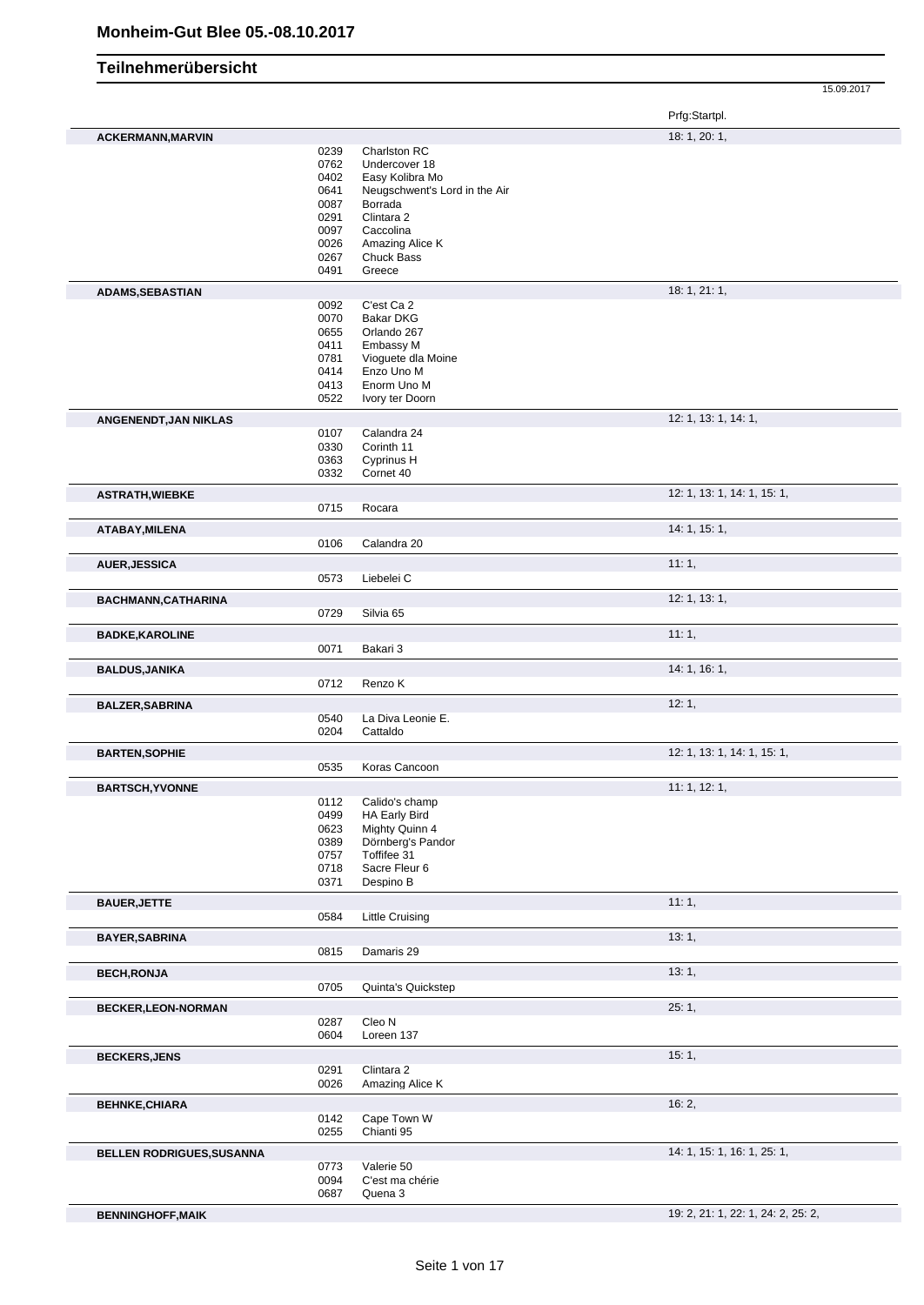|                           |              |                               | 15.09.2017                  |
|---------------------------|--------------|-------------------------------|-----------------------------|
|                           |              |                               | Prfg:Startpl.               |
| <b>ACKERMANN, MARVIN</b>  |              |                               | 18: 1, 20: 1,               |
|                           | 0239         | Charlston RC                  |                             |
|                           | 0762         | Undercover 18                 |                             |
|                           | 0402         | Easy Kolibra Mo               |                             |
|                           | 0641         | Neugschwent's Lord in the Air |                             |
|                           | 0087         | Borrada                       |                             |
|                           | 0291         | Clintara 2                    |                             |
|                           | 0097         | Caccolina                     |                             |
|                           | 0026         | Amazing Alice K               |                             |
|                           | 0267         | Chuck Bass                    |                             |
|                           | 0491         | Greece                        |                             |
| <b>ADAMS, SEBASTIAN</b>   | 0092         | C'est Ca 2                    | 18:1, 21:1,                 |
|                           | 0070         | <b>Bakar DKG</b>              |                             |
|                           | 0655         | Orlando 267                   |                             |
|                           | 0411         | Embassy M                     |                             |
|                           | 0781         | Vioguete dla Moine            |                             |
|                           | 0414         | Enzo Uno M                    |                             |
|                           | 0413         | Enorm Uno M                   |                             |
|                           | 0522         | Ivory ter Doorn               |                             |
| ANGENENDT, JAN NIKLAS     |              |                               | 12: 1, 13: 1, 14: 1,        |
|                           | 0107<br>0330 | Calandra 24<br>Corinth 11     |                             |
|                           | 0363         | Cyprinus H                    |                             |
|                           | 0332         | Cornet 40                     |                             |
| <b>ASTRATH, WIEBKE</b>    |              |                               | 12: 1, 13: 1, 14: 1, 15: 1, |
|                           | 0715         | Rocara                        |                             |
| ATABAY, MILENA            |              |                               | 14: 1, 15: 1,               |
|                           | 0106         | Calandra 20                   |                             |
| <b>AUER, JESSICA</b>      |              |                               | 11:1,                       |
|                           | 0573         | Liebelei C                    |                             |
| BACHMANN, CATHARINA       |              |                               | 12: 1, 13: 1,               |
|                           | 0729         | Silvia 65                     |                             |
| <b>BADKE, KAROLINE</b>    |              |                               | 11:1,                       |
|                           | 0071         | Bakari 3                      |                             |
| <b>BALDUS, JANIKA</b>     | 0712         | Renzo K                       | 14: 1, 16: 1,               |
| <b>BALZER, SABRINA</b>    |              |                               | 12:1,                       |
|                           | 0540         | La Diva Leonie E.             |                             |
|                           | 0204         | Cattaldo                      |                             |
| <b>BARTEN, SOPHIE</b>     |              |                               | 12: 1, 13: 1, 14: 1, 15: 1, |
|                           | 0535         | Koras Cancoon                 |                             |
| <b>BARTSCH, YVONNE</b>    | 0112         | Calido's champ                | 11: 1, 12: 1,               |
|                           | 0499         | HA Early Bird                 |                             |
|                           | 0623         | Mighty Quinn 4                |                             |
|                           | 0389         | Dörnberg's Pandor             |                             |
|                           | 0757         | Toffifee 31                   |                             |
|                           | 0718         | Sacre Fleur 6                 |                             |
|                           | 0371         | Despino B                     |                             |
| <b>BAUER, JETTE</b>       |              |                               | 11:1,                       |
|                           | 0584         | <b>Little Cruising</b>        |                             |
| <b>BAYER, SABRINA</b>     |              |                               | 13:1,                       |
|                           | 0815         | Damaris 29                    |                             |
| <b>BECH, RONJA</b>        | 0705         | Quinta's Quickstep            | 13:1,                       |
|                           |              |                               |                             |
| <b>BECKER,LEON-NORMAN</b> | 0287         | Cleo N                        | 25:1,                       |
|                           | 0604         | Loreen 137                    |                             |
| <b>BECKERS, JENS</b>      |              |                               | 15:1,                       |
|                           | 0291         | Clintara 2                    |                             |
|                           | 0026         | Amazing Alice K               |                             |
| <b>BEHNKE, CHIARA</b>     | 0142         | Cape Town W                   | 16:2,                       |
|                           | 0255         | Chianti 95                    |                             |
| BELLEN RODRIGUES, SUSANNA |              |                               | 14: 1, 15: 1, 16: 1, 25: 1, |
|                           | 0773         | Valerie 50                    |                             |
|                           | 0094         | C'est ma chérie               |                             |

**BENNINGHOFF,MAIK** 19: 2, 21: 1, 22: 1, 24: 2, 25: 2,

Quena 3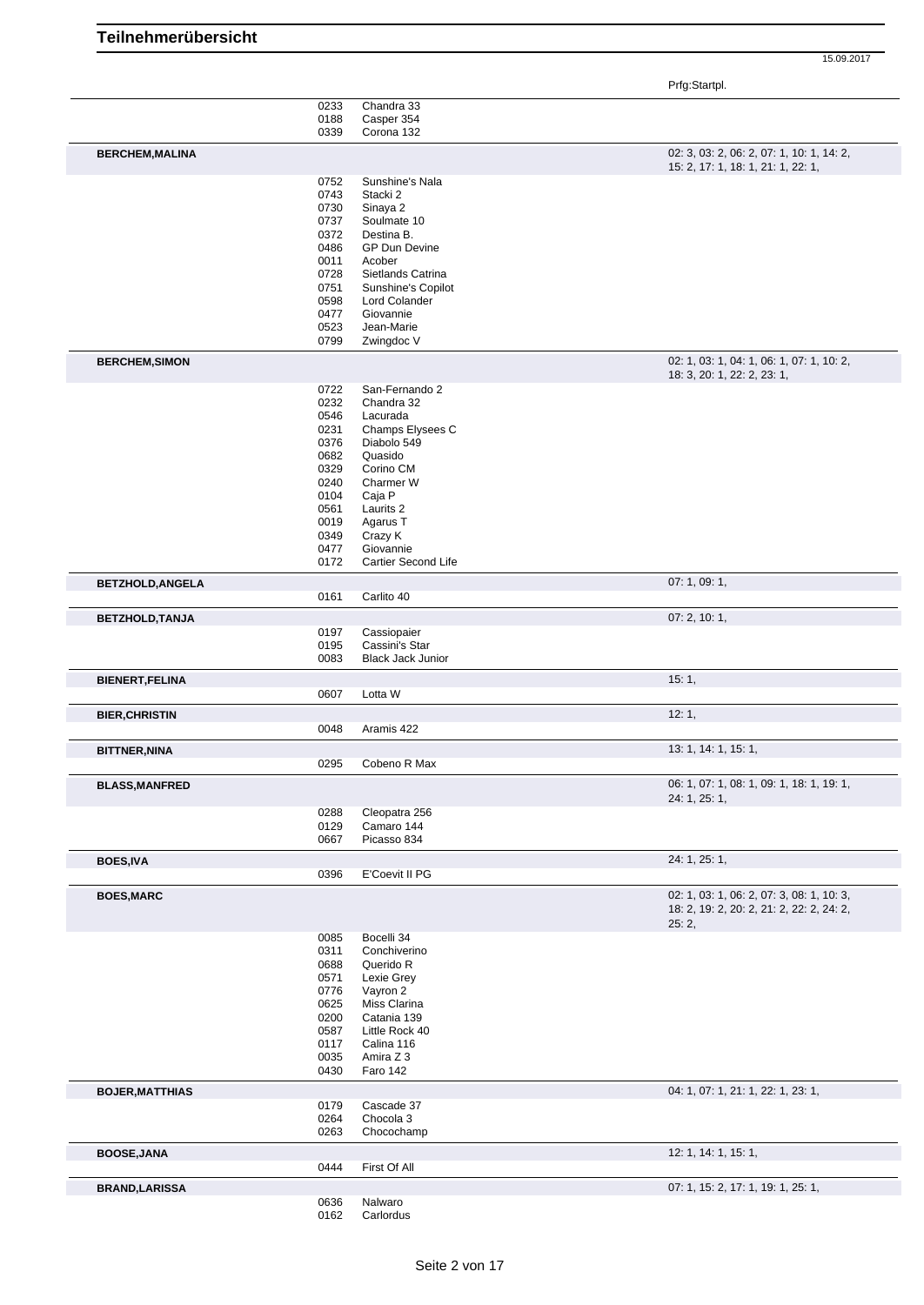Prfg:Startpl.

|                         | 0233         | Chandra 33               |                                           |
|-------------------------|--------------|--------------------------|-------------------------------------------|
|                         | 0188         | Casper 354               |                                           |
|                         | 0339         | Corona 132               |                                           |
|                         |              |                          |                                           |
| <b>BERCHEM, MALINA</b>  |              |                          | 02: 3, 03: 2, 06: 2, 07: 1, 10: 1, 14: 2, |
|                         |              |                          | 15: 2, 17: 1, 18: 1, 21: 1, 22: 1,        |
|                         | 0752         | Sunshine's Nala          |                                           |
|                         | 0743         | Stacki 2                 |                                           |
|                         |              |                          |                                           |
|                         | 0730         | Sinaya 2                 |                                           |
|                         | 0737         | Soulmate 10              |                                           |
|                         | 0372         | Destina B.               |                                           |
|                         | 0486         | <b>GP Dun Devine</b>     |                                           |
|                         | 0011         | Acober                   |                                           |
|                         | 0728         | Sietlands Catrina        |                                           |
|                         |              |                          |                                           |
|                         | 0751         | Sunshine's Copilot       |                                           |
|                         | 0598         | Lord Colander            |                                           |
|                         | 0477         | Giovannie                |                                           |
|                         | 0523         | Jean-Marie               |                                           |
|                         | 0799         | Zwingdoc V               |                                           |
|                         |              |                          |                                           |
| <b>BERCHEM, SIMON</b>   |              |                          | 02: 1, 03: 1, 04: 1, 06: 1, 07: 1, 10: 2, |
|                         |              |                          | 18: 3, 20: 1, 22: 2, 23: 1,               |
|                         | 0722         | San-Fernando 2           |                                           |
|                         | 0232         | Chandra 32               |                                           |
|                         | 0546         | Lacurada                 |                                           |
|                         |              |                          |                                           |
|                         | 0231         | Champs Elysees C         |                                           |
|                         | 0376         | Diabolo 549              |                                           |
|                         | 0682         | Quasido                  |                                           |
|                         | 0329         | Corino CM                |                                           |
|                         | 0240         | Charmer W                |                                           |
|                         | 0104         | Caja P                   |                                           |
|                         | 0561         | Laurits <sub>2</sub>     |                                           |
|                         |              |                          |                                           |
|                         | 0019         | Agarus T                 |                                           |
|                         | 0349         | Crazy K                  |                                           |
|                         | 0477         | Giovannie                |                                           |
|                         | 0172         | Cartier Second Life      |                                           |
|                         |              |                          | 07: 1, 09: 1,                             |
| <b>BETZHOLD, ANGELA</b> |              |                          |                                           |
|                         | 0161         | Carlito 40               |                                           |
| <b>BETZHOLD, TANJA</b>  |              |                          | 07:2, 10:1,                               |
|                         | 0197         | Cassiopaier              |                                           |
|                         | 0195         | Cassini's Star           |                                           |
|                         |              |                          |                                           |
|                         | 0083         | <b>Black Jack Junior</b> |                                           |
| <b>BIENERT, FELINA</b>  |              |                          | 15:1,                                     |
|                         | 0607         | Lotta W                  |                                           |
|                         |              |                          |                                           |
| <b>BIER, CHRISTIN</b>   |              |                          | 12:1,                                     |
|                         | 0048         | Aramis 422               |                                           |
|                         |              |                          |                                           |
| <b>BITTNER, NINA</b>    |              |                          | 13: 1, 14: 1, 15: 1,                      |
|                         | 0295         | Cobeno R Max             |                                           |
| <b>BLASS, MANFRED</b>   |              |                          | 06: 1, 07: 1, 08: 1, 09: 1, 18: 1, 19: 1, |
|                         |              |                          | 24: 1, 25: 1,                             |
|                         | 0288         | Cleopatra 256            |                                           |
|                         | 0129         | Camaro 144               |                                           |
|                         | 0667         | Picasso 834              |                                           |
|                         |              |                          |                                           |
| <b>BOES, IVA</b>        |              |                          | 24: 1, 25: 1,                             |
|                         | 0396         | E'Coevit II PG           |                                           |
| <b>BOES, MARC</b>       |              |                          | 02: 1, 03: 1, 06: 2, 07: 3, 08: 1, 10: 3, |
|                         |              |                          |                                           |
|                         |              |                          | 18: 2, 19: 2, 20: 2, 21: 2, 22: 2, 24: 2, |
|                         |              |                          | 25:2,                                     |
|                         | 0085         | Bocelli 34               |                                           |
|                         | 0311         | Conchiverino             |                                           |
|                         | 0688         | Querido R                |                                           |
|                         | 0571         | Lexie Grey               |                                           |
|                         |              |                          |                                           |
|                         | 0776         | Vayron 2                 |                                           |
|                         | 0625         | Miss Clarina             |                                           |
|                         | 0200         | Catania 139              |                                           |
|                         | 0587         | Little Rock 40           |                                           |
|                         | 0117         | Calina 116               |                                           |
|                         | 0035         | Amira Z 3                |                                           |
|                         | 0430         | Faro 142                 |                                           |
|                         |              |                          |                                           |
| <b>BOJER, MATTHIAS</b>  |              |                          | 04: 1, 07: 1, 21: 1, 22: 1, 23: 1,        |
|                         | 0179         | Cascade 37               |                                           |
|                         | 0264         | Chocola 3                |                                           |
|                         | 0263         | Chocochamp               |                                           |
|                         |              |                          |                                           |
| <b>BOOSE, JANA</b>      |              |                          | 12: 1, 14: 1, 15: 1,                      |
|                         | 0444         | First Of All             |                                           |
|                         |              |                          |                                           |
|                         |              |                          |                                           |
| <b>BRAND, LARISSA</b>   |              | Nalwaro                  | 07: 1, 15: 2, 17: 1, 19: 1, 25: 1,        |
|                         | 0636<br>0162 | Carlordus                |                                           |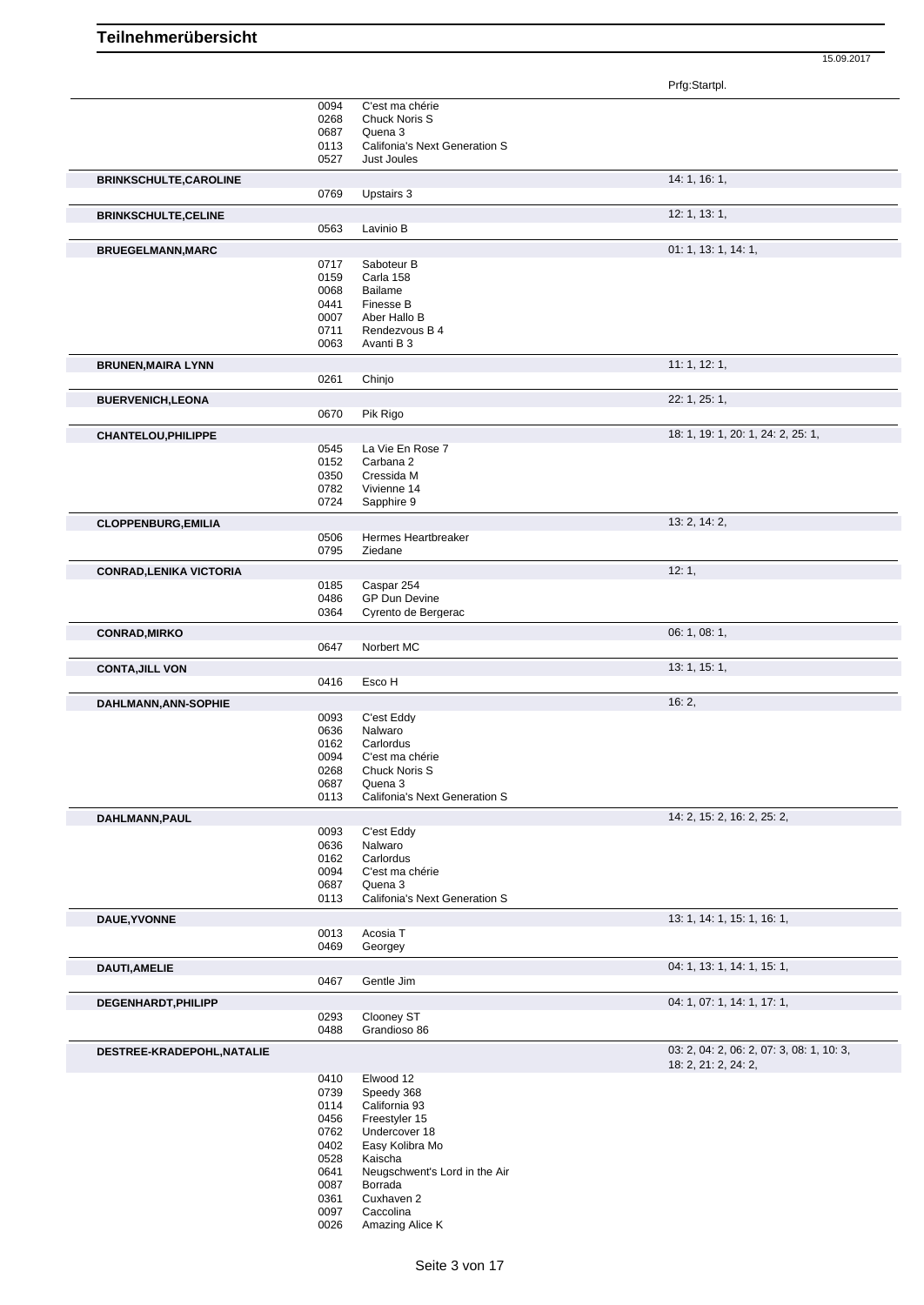|                                | 0094 | C'est ma chérie                      |                                           |
|--------------------------------|------|--------------------------------------|-------------------------------------------|
|                                | 0268 | Chuck Noris S                        |                                           |
|                                | 0687 | Quena 3                              |                                           |
|                                | 0113 | <b>Califonia's Next Generation S</b> |                                           |
|                                | 0527 | Just Joules                          |                                           |
|                                |      |                                      |                                           |
| <b>BRINKSCHULTE, CAROLINE</b>  |      |                                      | 14: 1, 16: 1,                             |
|                                | 0769 | Upstairs 3                           |                                           |
|                                |      |                                      |                                           |
| <b>BRINKSCHULTE, CELINE</b>    |      |                                      | 12: 1, 13: 1,                             |
|                                | 0563 | Lavinio B                            |                                           |
| <b>BRUEGELMANN, MARC</b>       |      |                                      | 01: 1, 13: 1, 14: 1,                      |
|                                |      |                                      |                                           |
|                                | 0717 | Saboteur B                           |                                           |
|                                | 0159 | Carla 158                            |                                           |
|                                | 0068 | Bailame                              |                                           |
|                                | 0441 | Finesse B                            |                                           |
|                                | 0007 | Aber Hallo B                         |                                           |
|                                | 0711 | Rendezvous B 4                       |                                           |
|                                | 0063 | Avanti B 3                           |                                           |
|                                |      |                                      |                                           |
| <b>BRUNEN, MAIRA LYNN</b>      |      |                                      | 11: 1, 12: 1,                             |
|                                | 0261 | Chinjo                               |                                           |
|                                |      |                                      | 22: 1, 25: 1,                             |
| <b>BUERVENICH, LEONA</b>       |      |                                      |                                           |
|                                | 0670 | Pik Rigo                             |                                           |
| CHANTELOU, PHILIPPE            |      |                                      | 18: 1, 19: 1, 20: 1, 24: 2, 25: 1,        |
|                                | 0545 | La Vie En Rose 7                     |                                           |
|                                | 0152 | Carbana 2                            |                                           |
|                                |      |                                      |                                           |
|                                | 0350 | Cressida M                           |                                           |
|                                | 0782 | Vivienne 14                          |                                           |
|                                | 0724 | Sapphire 9                           |                                           |
|                                |      |                                      | 13: 2, 14: 2,                             |
| <b>CLOPPENBURG, EMILIA</b>     | 0506 | Hermes Heartbreaker                  |                                           |
|                                |      |                                      |                                           |
|                                | 0795 | Ziedane                              |                                           |
| <b>CONRAD, LENIKA VICTORIA</b> |      |                                      | 12:1,                                     |
|                                | 0185 | Caspar 254                           |                                           |
|                                | 0486 | GP Dun Devine                        |                                           |
|                                |      |                                      |                                           |
|                                | 0364 | Cyrento de Bergerac                  |                                           |
| <b>CONRAD, MIRKO</b>           |      |                                      | 06: 1, 08: 1,                             |
|                                | 0647 | Norbert MC                           |                                           |
|                                |      |                                      |                                           |
| <b>CONTA, JILL VON</b>         |      |                                      | 13: 1, 15: 1,                             |
|                                | 0416 | Esco H                               |                                           |
|                                |      |                                      |                                           |
|                                |      |                                      | 16:2,                                     |
| DAHLMANN, ANN-SOPHIE           |      |                                      |                                           |
|                                | 0093 | C'est Eddy                           |                                           |
|                                | 0636 | Nalwaro                              |                                           |
|                                | 0162 | Carlordus                            |                                           |
|                                | 0094 | C'est ma chérie                      |                                           |
|                                |      |                                      |                                           |
|                                | 0268 | Chuck Noris S                        |                                           |
|                                | 0687 | Quena 3                              |                                           |
|                                | 0113 | <b>Califonia's Next Generation S</b> |                                           |
| DAHLMANN, PAUL                 |      |                                      | 14: 2, 15: 2, 16: 2, 25: 2,               |
|                                | 0093 | C'est Eddy                           |                                           |
|                                | 0636 | Nalwaro                              |                                           |
|                                | 0162 | Carlordus                            |                                           |
|                                |      |                                      |                                           |
|                                | 0094 | C'est ma chérie<br>Quena 3           |                                           |
|                                | 0687 |                                      |                                           |
|                                | 0113 | Califonia's Next Generation S        |                                           |
| DAUE, YVONNE                   |      |                                      | 13: 1, 14: 1, 15: 1, 16: 1,               |
|                                | 0013 | Acosia T                             |                                           |
|                                | 0469 | Georgey                              |                                           |
|                                |      |                                      |                                           |
| DAUTI, AMELIE                  |      |                                      | 04: 1, 13: 1, 14: 1, 15: 1,               |
|                                | 0467 | Gentle Jim                           |                                           |
|                                |      |                                      |                                           |
| DEGENHARDT, PHILIPP            |      |                                      | 04: 1, 07: 1, 14: 1, 17: 1,               |
|                                | 0293 | Clooney ST                           |                                           |
|                                | 0488 | Grandioso 86                         |                                           |
|                                |      |                                      |                                           |
| DESTREE-KRADEPOHL, NATALIE     |      |                                      | 03: 2, 04: 2, 06: 2, 07: 3, 08: 1, 10: 3, |
|                                |      |                                      | 18: 2, 21: 2, 24: 2,                      |
|                                | 0410 | Elwood 12                            |                                           |
|                                | 0739 | Speedy 368                           |                                           |
|                                | 0114 | California 93                        |                                           |
|                                | 0456 | Freestyler 15                        |                                           |
|                                | 0762 | Undercover 18                        |                                           |
|                                |      |                                      |                                           |
|                                | 0402 | Easy Kolibra Mo                      |                                           |
|                                | 0528 | Kaischa                              |                                           |
|                                | 0641 | Neugschwent's Lord in the Air        |                                           |
|                                | 0087 | Borrada                              |                                           |
|                                | 0361 | Cuxhaven 2                           |                                           |
|                                | 0097 | Caccolina                            |                                           |
|                                | 0026 | Amazing Alice K                      |                                           |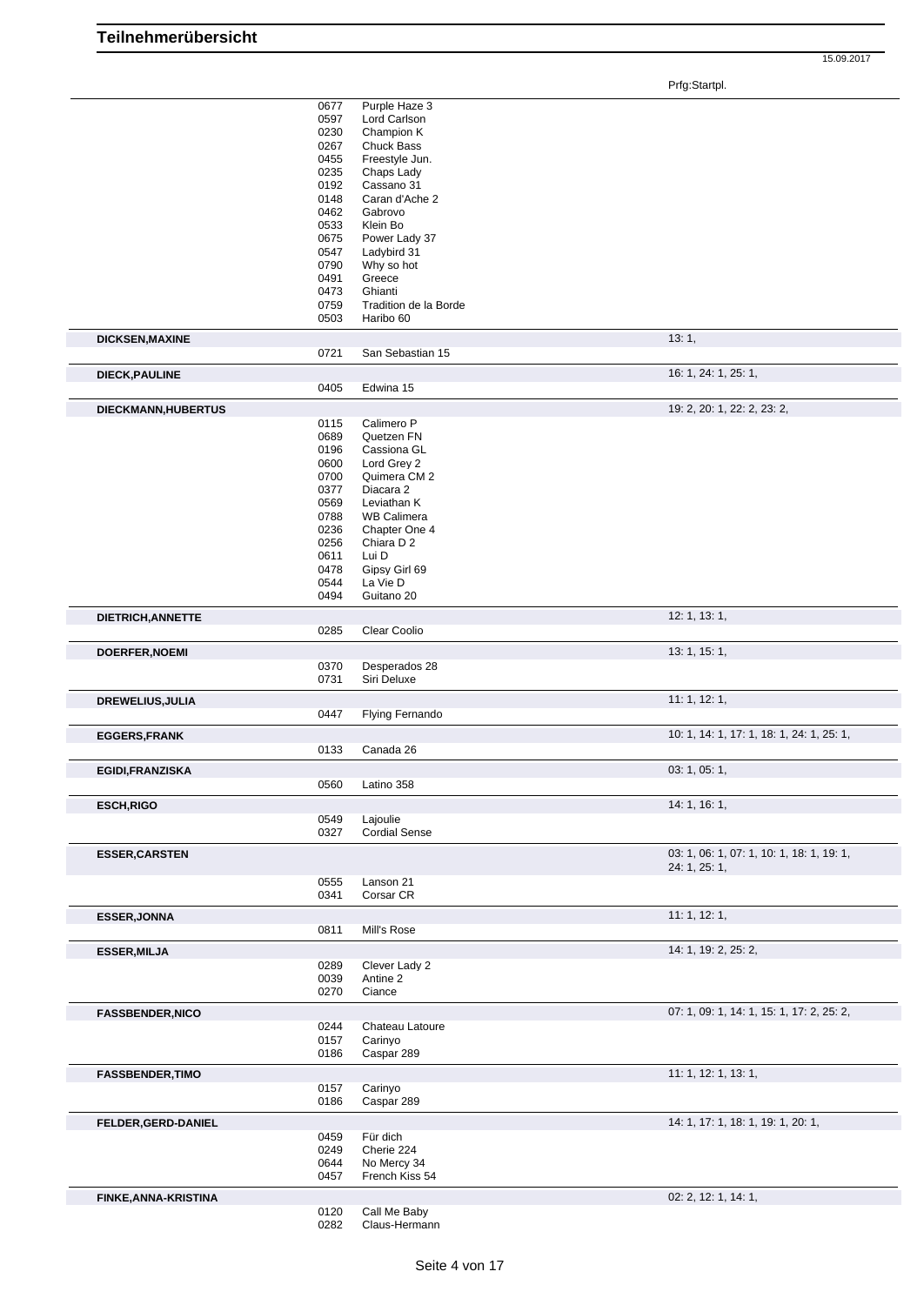|                         | 0677         | Purple Haze 3                    |                                           |
|-------------------------|--------------|----------------------------------|-------------------------------------------|
|                         | 0597         | Lord Carlson                     |                                           |
|                         | 0230<br>0267 | Champion K<br><b>Chuck Bass</b>  |                                           |
|                         | 0455         | Freestyle Jun.                   |                                           |
|                         | 0235         | Chaps Lady                       |                                           |
|                         | 0192         | Cassano 31                       |                                           |
|                         | 0148         | Caran d'Ache 2                   |                                           |
|                         | 0462         | Gabrovo                          |                                           |
|                         | 0533         | Klein Bo                         |                                           |
|                         | 0675         | Power Lady 37                    |                                           |
|                         | 0547<br>0790 | Ladybird 31<br>Why so hot        |                                           |
|                         | 0491         | Greece                           |                                           |
|                         | 0473         | Ghianti                          |                                           |
|                         | 0759         | Tradition de la Borde            |                                           |
|                         | 0503         | Haribo 60                        |                                           |
| <b>DICKSEN, MAXINE</b>  |              |                                  | 13:1,                                     |
|                         | 0721         | San Sebastian 15                 |                                           |
| <b>DIECK, PAULINE</b>   |              |                                  | 16: 1, 24: 1, 25: 1,                      |
|                         | 0405         | Edwina 15                        |                                           |
|                         |              |                                  | 19: 2, 20: 1, 22: 2, 23: 2,               |
| DIECKMANN, HUBERTUS     | 0115         | Calimero P                       |                                           |
|                         | 0689         | Quetzen FN                       |                                           |
|                         | 0196         | Cassiona GL                      |                                           |
|                         | 0600         | Lord Grey 2                      |                                           |
|                         | 0700         | Quimera CM 2                     |                                           |
|                         | 0377         | Diacara 2                        |                                           |
|                         | 0569         | Leviathan K                      |                                           |
|                         | 0788         | <b>WB Calimera</b>               |                                           |
|                         | 0236<br>0256 | Chapter One 4<br>Chiara D 2      |                                           |
|                         | 0611         | Lui D                            |                                           |
|                         | 0478         | Gipsy Girl 69                    |                                           |
|                         | 0544         | La Vie D                         |                                           |
|                         | 0494         | Guitano 20                       |                                           |
| DIETRICH, ANNETTE       |              |                                  | 12: 1, 13: 1,                             |
|                         | 0285         | Clear Coolio                     |                                           |
| <b>DOERFER, NOEMI</b>   |              |                                  | 13: 1, 15: 1,                             |
|                         | 0370         | Desperados 28                    |                                           |
|                         | 0731         | Siri Deluxe                      |                                           |
| DREWELIUS, JULIA        |              |                                  | 11: 1, 12: 1,                             |
|                         | 0447         | Flying Fernando                  |                                           |
|                         |              |                                  | 10: 1, 14: 1, 17: 1, 18: 1, 24: 1, 25: 1, |
| <b>EGGERS, FRANK</b>    | 0133         | Canada 26                        |                                           |
|                         |              |                                  |                                           |
| <b>EGIDI, FRANZISKA</b> | 0560         | Latino 358                       | 03: 1, 05: 1,                             |
|                         |              |                                  |                                           |
| <b>ESCH, RIGO</b>       |              |                                  | 14: 1, 16: 1,                             |
|                         | 0549<br>0327 | Lajoulie<br><b>Cordial Sense</b> |                                           |
|                         |              |                                  |                                           |
| <b>ESSER, CARSTEN</b>   |              |                                  | 03: 1, 06: 1, 07: 1, 10: 1, 18: 1, 19: 1, |
|                         |              |                                  | 24: 1, 25: 1,                             |
|                         | 0555<br>0341 | Lanson 21<br>Corsar CR           |                                           |
|                         |              |                                  |                                           |
| <b>ESSER, JONNA</b>     |              |                                  | 11: 1, 12: 1,                             |
|                         | 0811         | Mill's Rose                      |                                           |
| <b>ESSER, MILJA</b>     |              |                                  | 14: 1, 19: 2, 25: 2,                      |
|                         | 0289         | Clever Lady 2                    |                                           |
|                         | 0039         | Antine 2                         |                                           |
|                         | 0270         | Ciance                           |                                           |
| <b>FASSBENDER, NICO</b> |              |                                  | 07: 1, 09: 1, 14: 1, 15: 1, 17: 2, 25: 2, |
|                         | 0244         | Chateau Latoure                  |                                           |
|                         | 0157         | Carinyo                          |                                           |
|                         | 0186         | Caspar 289                       |                                           |
| <b>FASSBENDER, TIMO</b> |              |                                  | 11: 1, 12: 1, 13: 1,                      |
|                         | 0157         | Carinyo                          |                                           |
|                         | 0186         | Caspar 289                       |                                           |
| FELDER, GERD-DANIEL     |              |                                  | 14: 1, 17: 1, 18: 1, 19: 1, 20: 1,        |
|                         | 0459         | Für dich                         |                                           |
|                         | 0249         | Cherie 224                       |                                           |
|                         | 0644         | No Mercy 34                      |                                           |
|                         | 0457         | French Kiss 54                   |                                           |
| FINKE, ANNA-KRISTINA    |              |                                  | 02: 2, 12: 1, 14: 1,                      |
|                         | 0120         | Call Me Baby                     |                                           |
|                         | 0282         | Claus-Hermann                    |                                           |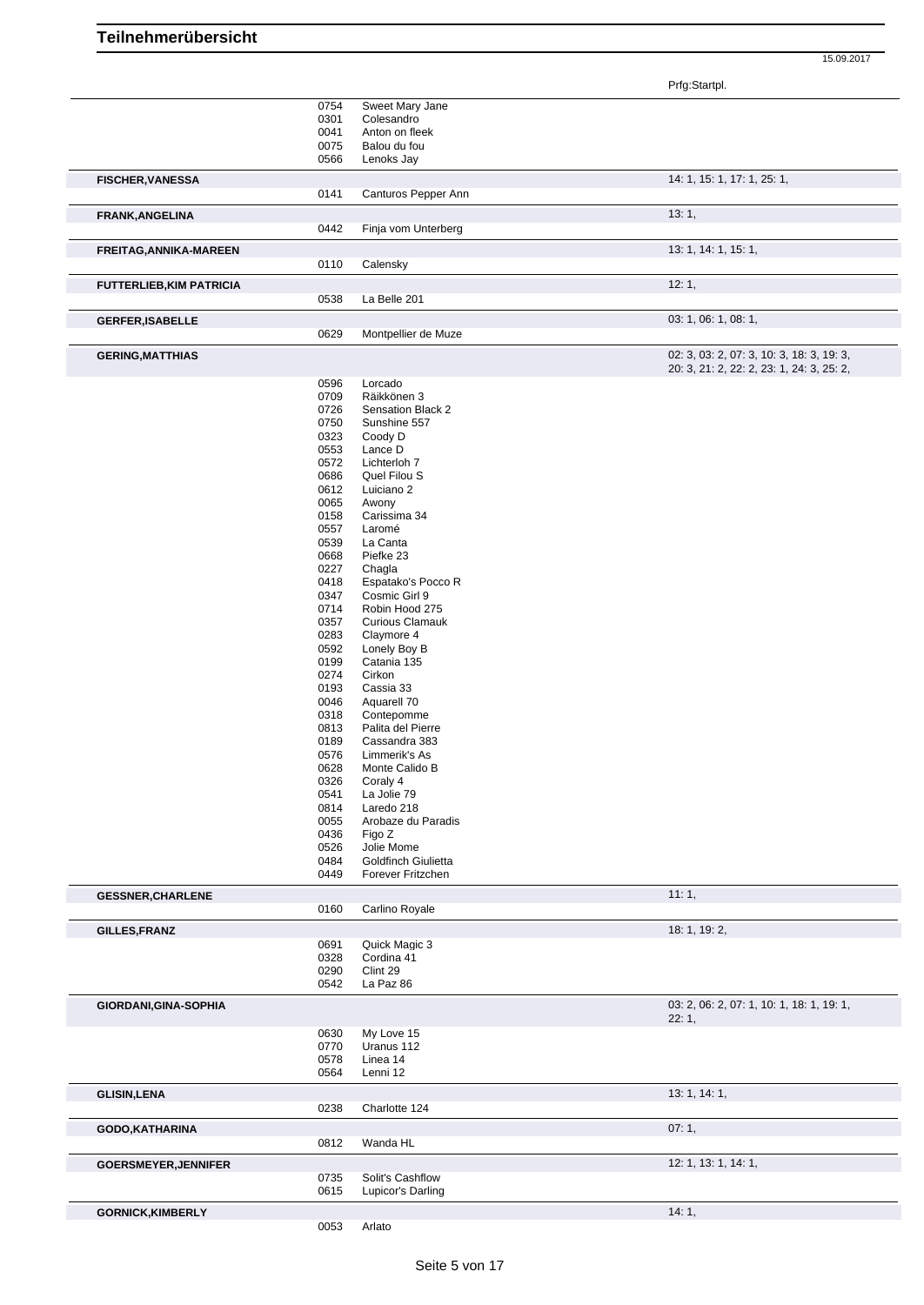Prfg:Startpl.

|                                 |      |                        | r ng.olanpi.                                       |
|---------------------------------|------|------------------------|----------------------------------------------------|
|                                 |      |                        |                                                    |
|                                 | 0754 | Sweet Mary Jane        |                                                    |
|                                 | 0301 | Colesandro             |                                                    |
|                                 | 0041 | Anton on fleek         |                                                    |
|                                 | 0075 | Balou du fou           |                                                    |
|                                 | 0566 | Lenoks Jay             |                                                    |
|                                 |      |                        |                                                    |
| <b>FISCHER, VANESSA</b>         |      |                        | 14: 1, 15: 1, 17: 1, 25: 1,                        |
|                                 | 0141 | Canturos Pepper Ann    |                                                    |
|                                 |      |                        |                                                    |
| <b>FRANK, ANGELINA</b>          | 0442 |                        | 13:1,                                              |
|                                 |      | Finja vom Unterberg    |                                                    |
| FREITAG, ANNIKA-MAREEN          |      |                        | 13: 1, 14: 1, 15: 1,                               |
|                                 | 0110 | Calensky               |                                                    |
|                                 |      |                        | 12:1,                                              |
| <b>FUTTERLIEB, KIM PATRICIA</b> | 0538 | La Belle 201           |                                                    |
|                                 |      |                        |                                                    |
| <b>GERFER, ISABELLE</b>         |      |                        | 03: 1, 06: 1, 08: 1,                               |
|                                 | 0629 | Montpellier de Muze    |                                                    |
| <b>GERING, MATTHIAS</b>         |      |                        | 02: 3, 03: 2, 07: 3, 10: 3, 18: 3, 19: 3,          |
|                                 |      |                        | 20: 3, 21: 2, 22: 2, 23: 1, 24: 3, 25: 2,          |
|                                 | 0596 | Lorcado                |                                                    |
|                                 | 0709 | Räikkönen 3            |                                                    |
|                                 |      |                        |                                                    |
|                                 | 0726 | Sensation Black 2      |                                                    |
|                                 | 0750 | Sunshine 557           |                                                    |
|                                 | 0323 | Coody D                |                                                    |
|                                 | 0553 | Lance D                |                                                    |
|                                 |      |                        |                                                    |
|                                 | 0572 | Lichterloh 7           |                                                    |
|                                 | 0686 | Quel Filou S           |                                                    |
|                                 | 0612 | Luiciano 2             |                                                    |
|                                 | 0065 | Awony                  |                                                    |
|                                 |      |                        |                                                    |
|                                 | 0158 | Carissima 34           |                                                    |
|                                 | 0557 | Laromé                 |                                                    |
|                                 | 0539 | La Canta               |                                                    |
|                                 | 0668 | Piefke 23              |                                                    |
|                                 |      |                        |                                                    |
|                                 | 0227 | Chagla                 |                                                    |
|                                 | 0418 | Espatako's Pocco R     |                                                    |
|                                 | 0347 | Cosmic Girl 9          |                                                    |
|                                 | 0714 | Robin Hood 275         |                                                    |
|                                 |      |                        |                                                    |
|                                 | 0357 | <b>Curious Clamauk</b> |                                                    |
|                                 | 0283 | Claymore 4             |                                                    |
|                                 | 0592 | Lonely Boy B           |                                                    |
|                                 | 0199 | Catania 135            |                                                    |
|                                 | 0274 | Cirkon                 |                                                    |
|                                 |      |                        |                                                    |
|                                 | 0193 | Cassia 33              |                                                    |
|                                 | 0046 | Aquarell 70            |                                                    |
|                                 | 0318 | Contepomme             |                                                    |
|                                 | 0813 | Palita del Pierre      |                                                    |
|                                 | 0189 | Cassandra 383          |                                                    |
|                                 | 0576 | Limmerik's As          |                                                    |
|                                 |      |                        |                                                    |
|                                 | 0628 | Monte Calido B         |                                                    |
|                                 | 0326 | Coraly 4               |                                                    |
|                                 | 0541 | La Jolie 79            |                                                    |
|                                 |      | Laredo 218             |                                                    |
|                                 | 0814 |                        |                                                    |
|                                 | 0055 | Arobaze du Paradis     |                                                    |
|                                 | 0436 | Figo Z                 |                                                    |
|                                 | 0526 | Jolie Mome             |                                                    |
|                                 | 0484 | Goldfinch Giulietta    |                                                    |
|                                 | 0449 | Forever Fritzchen      |                                                    |
| <b>GESSNER, CHARLENE</b>        |      |                        | 11:1,                                              |
|                                 | 0160 | Carlino Royale         |                                                    |
|                                 |      |                        |                                                    |
| GILLES, FRANZ                   |      |                        | 18: 1, 19: 2,                                      |
|                                 | 0691 | Quick Magic 3          |                                                    |
|                                 | 0328 | Cordina 41             |                                                    |
|                                 | 0290 | Clint 29               |                                                    |
|                                 | 0542 | La Paz 86              |                                                    |
|                                 |      |                        |                                                    |
| GIORDANI, GINA-SOPHIA           |      |                        | 03: 2, 06: 2, 07: 1, 10: 1, 18: 1, 19: 1,<br>22:1, |
|                                 | 0630 | My Love 15             |                                                    |
|                                 | 0770 | Uranus 112             |                                                    |
|                                 |      |                        |                                                    |
|                                 | 0578 | Linea 14               |                                                    |
|                                 | 0564 | Lenni 12               |                                                    |
| <b>GLISIN,LENA</b>              |      |                        | 13: 1, 14: 1,                                      |
|                                 | 0238 | Charlotte 124          |                                                    |
| GODO, KATHARINA                 |      |                        | 07:1,                                              |
|                                 | 0812 | Wanda HL               |                                                    |
| <b>GOERSMEYER, JENNIFER</b>     |      |                        | 12: 1, 13: 1, 14: 1,                               |
|                                 | 0735 | Solit's Cashflow       |                                                    |
|                                 | 0615 | Lupicor's Darling      |                                                    |
|                                 |      |                        |                                                    |
| <b>GORNICK, KIMBERLY</b>        |      |                        | 14:1,                                              |
|                                 |      |                        |                                                    |
|                                 | 0053 | Arlato                 |                                                    |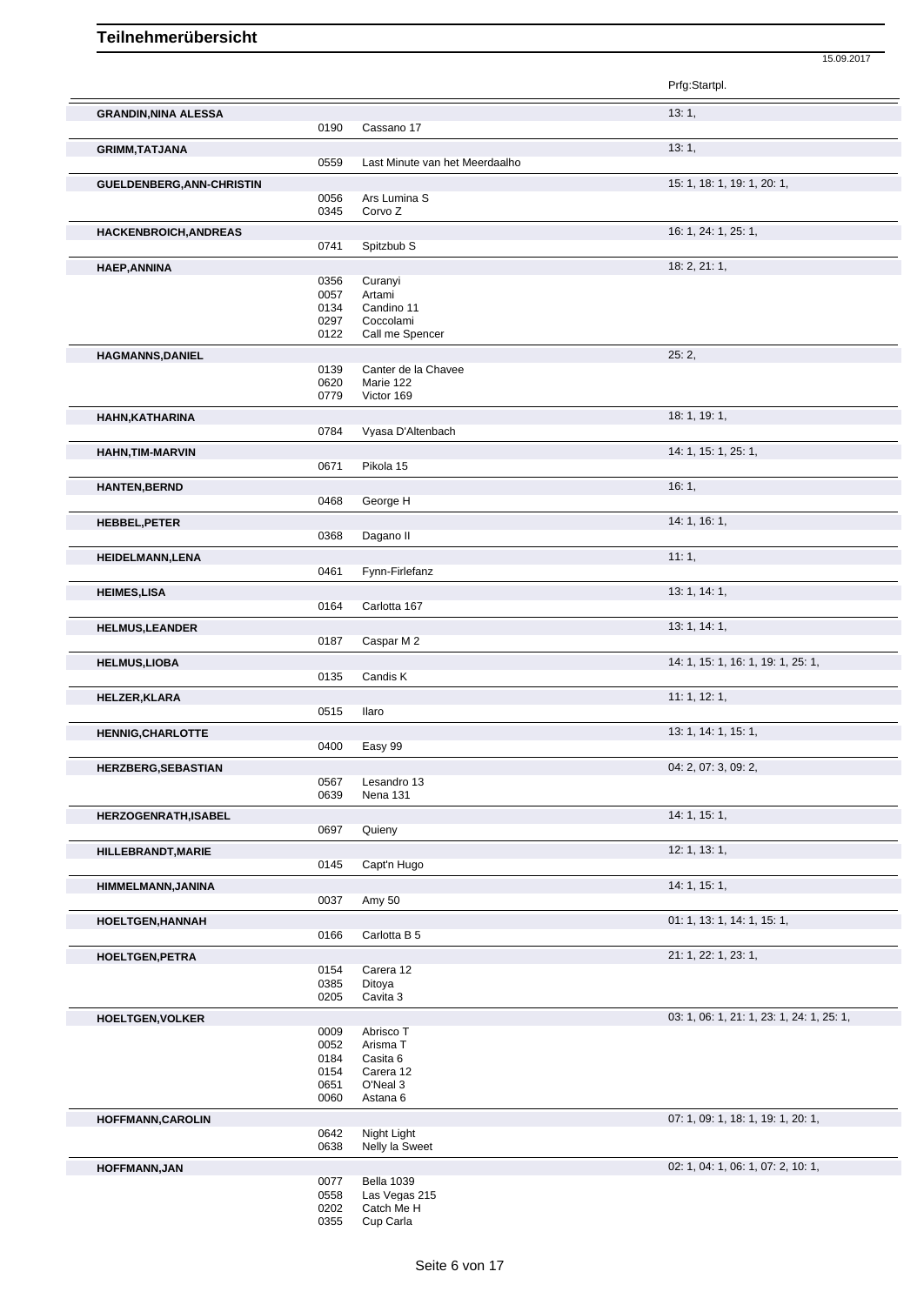|                             |              |                                | Prfg:Startpl.                             |
|-----------------------------|--------------|--------------------------------|-------------------------------------------|
| <b>GRANDIN, NINA ALESSA</b> |              |                                | 13:1,                                     |
|                             | 0190         | Cassano 17                     |                                           |
| <b>GRIMM, TATJANA</b>       |              |                                | 13:1,                                     |
|                             | 0559         | Last Minute van het Meerdaalho |                                           |
| GUELDENBERG, ANN-CHRISTIN   |              |                                | 15: 1, 18: 1, 19: 1, 20: 1,               |
|                             | 0056         | Ars Lumina S                   |                                           |
|                             | 0345         | Corvo Z                        |                                           |
| HACKENBROICH, ANDREAS       |              |                                | 16: 1, 24: 1, 25: 1,                      |
|                             | 0741         | Spitzbub S                     |                                           |
| <b>HAEP, ANNINA</b>         |              |                                | 18: 2, 21: 1,                             |
|                             | 0356         | Curanyi                        |                                           |
|                             | 0057<br>0134 | Artami<br>Candino 11           |                                           |
|                             | 0297         | Coccolami                      |                                           |
|                             | 0122         | Call me Spencer                |                                           |
| <b>HAGMANNS, DANIEL</b>     |              |                                | 25:2,                                     |
|                             | 0139         | Canter de la Chavee            |                                           |
|                             | 0620<br>0779 | Marie 122<br>Victor 169        |                                           |
|                             |              |                                |                                           |
| HAHN, KATHARINA             | 0784         | Vyasa D'Altenbach              | 18:1, 19:1,                               |
|                             |              |                                |                                           |
| <b>HAHN, TIM-MARVIN</b>     | 0671         | Pikola 15                      | 14: 1, 15: 1, 25: 1,                      |
|                             |              |                                |                                           |
| <b>HANTEN, BERND</b>        | 0468         | George H                       | 16:1,                                     |
|                             |              |                                |                                           |
| <b>HEBBEL, PETER</b>        |              |                                | 14: 1, 16: 1,                             |
|                             | 0368         | Dagano II                      |                                           |
| <b>HEIDELMANN,LENA</b>      |              |                                | 11:1,                                     |
|                             | 0461         | Fynn-Firlefanz                 |                                           |
| <b>HEIMES,LISA</b>          | 0164         | Carlotta 167                   | 13: 1, 14: 1,                             |
|                             |              |                                |                                           |
| <b>HELMUS, LEANDER</b>      | 0187         | Caspar M 2                     | 13: 1, 14: 1,                             |
|                             |              |                                |                                           |
| <b>HELMUS,LIOBA</b>         | 0135         | Candis K                       | 14: 1, 15: 1, 16: 1, 19: 1, 25: 1,        |
|                             |              |                                |                                           |
| <b>HELZER, KLARA</b>        | 0515         | Ilaro                          | 11: 1, 12: 1,                             |
|                             |              |                                | 13: 1, 14: 1, 15: 1,                      |
| <b>HENNIG, CHARLOTTE</b>    | 0400         | Easy 99                        |                                           |
|                             |              |                                | 04: 2, 07: 3, 09: 2,                      |
| <b>HERZBERG, SEBASTIAN</b>  | 0567         | Lesandro 13                    |                                           |
|                             | 0639         | Nena 131                       |                                           |
| <b>HERZOGENRATH, ISABEL</b> |              |                                | 14: 1, 15: 1,                             |
|                             | 0697         | Quieny                         |                                           |
| HILLEBRANDT, MARIE          |              |                                | 12: 1, 13: 1,                             |
|                             | 0145         | Capt'n Hugo                    |                                           |
| HIMMELMANN, JANINA          |              |                                | 14: 1, 15: 1,                             |
|                             | 0037         | Amy 50                         |                                           |
| HOELTGEN, HANNAH            |              |                                | 01: 1, 13: 1, 14: 1, 15: 1,               |
|                             | 0166         | Carlotta B 5                   |                                           |
| <b>HOELTGEN, PETRA</b>      |              |                                | 21: 1, 22: 1, 23: 1,                      |
|                             | 0154         | Carera 12                      |                                           |
|                             | 0385<br>0205 | Ditoya<br>Cavita 3             |                                           |
|                             |              |                                |                                           |
| <b>HOELTGEN, VOLKER</b>     | 0009         | Abrisco T                      | 03: 1, 06: 1, 21: 1, 23: 1, 24: 1, 25: 1, |
|                             | 0052         | Arisma T                       |                                           |
|                             | 0184         | Casita 6                       |                                           |
|                             | 0154<br>0651 | Carera 12<br>O'Neal 3          |                                           |
|                             | 0060         | Astana 6                       |                                           |
| <b>HOFFMANN, CAROLIN</b>    |              |                                | 07: 1, 09: 1, 18: 1, 19: 1, 20: 1,        |
|                             | 0642         | Night Light                    |                                           |
|                             | 0638         | Nelly la Sweet                 |                                           |
| <b>HOFFMANN, JAN</b>        |              |                                | 02: 1, 04: 1, 06: 1, 07: 2, 10: 1,        |
|                             | 0077         | <b>Bella 1039</b>              |                                           |
|                             | 0558         | Las Vegas 215<br>Catch Me H    |                                           |
|                             | 0202         |                                |                                           |

15.09.2017

Cup Carla

Seite 6 von 17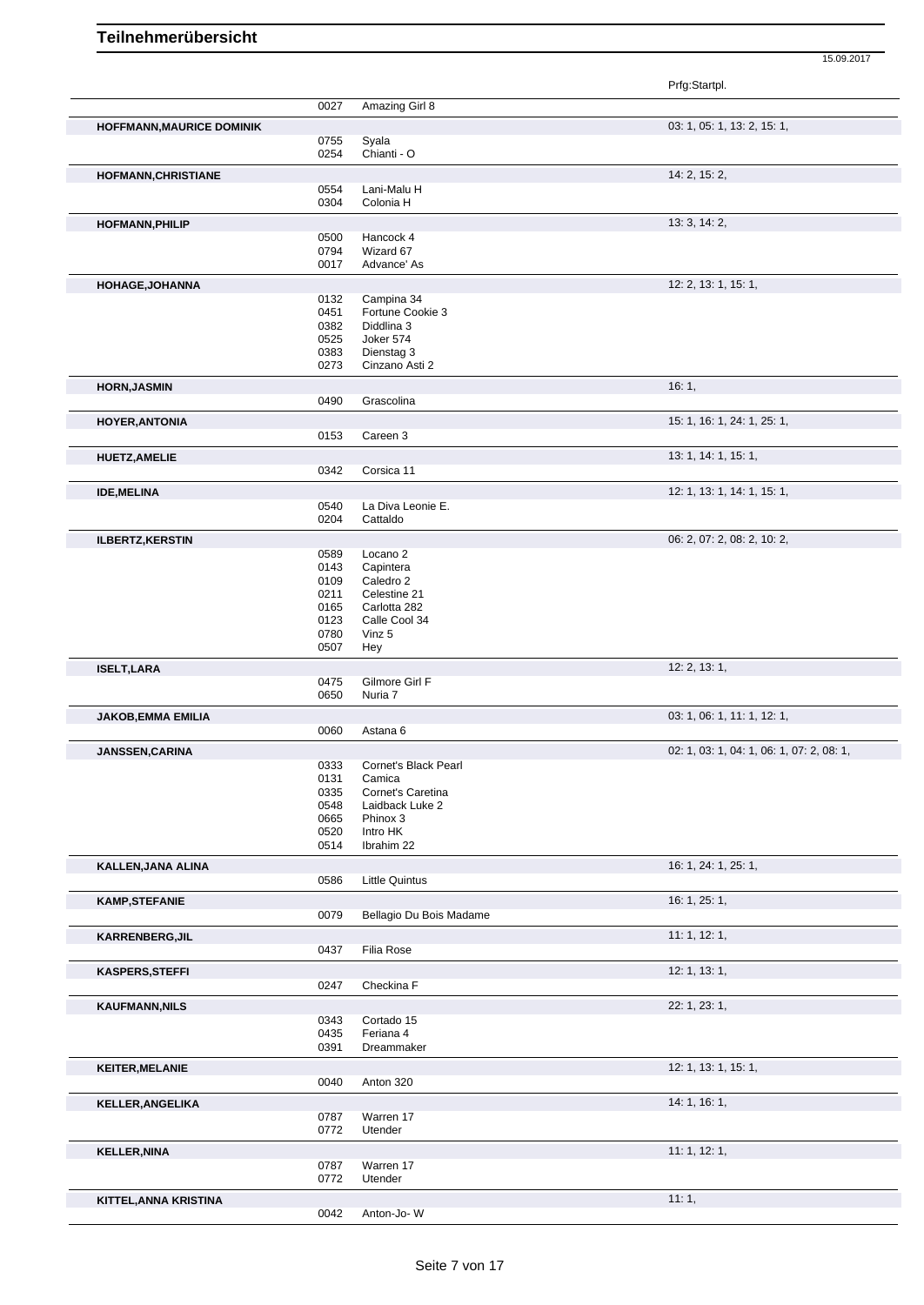|                                  |              |                                      | Prfg:Startpl.                             |
|----------------------------------|--------------|--------------------------------------|-------------------------------------------|
|                                  | 0027         | Amazing Girl 8                       |                                           |
| <b>HOFFMANN, MAURICE DOMINIK</b> |              |                                      | 03: 1, 05: 1, 13: 2, 15: 1,               |
|                                  | 0755         | Syala                                |                                           |
|                                  | 0254         | Chianti - O                          |                                           |
| HOFMANN, CHRISTIANE              |              |                                      | 14: 2, 15: 2,                             |
|                                  | 0554         | Lani-Malu H                          |                                           |
|                                  | 0304         | Colonia H                            |                                           |
| <b>HOFMANN, PHILIP</b>           |              |                                      | 13: 3, 14: 2,                             |
|                                  | 0500<br>0794 | Hancock 4<br>Wizard 67               |                                           |
|                                  | 0017         | Advance' As                          |                                           |
|                                  |              |                                      |                                           |
| HOHAGE, JOHANNA                  |              |                                      | 12: 2, 13: 1, 15: 1,                      |
|                                  | 0132<br>0451 | Campina 34<br>Fortune Cookie 3       |                                           |
|                                  | 0382         | Diddlina 3                           |                                           |
|                                  | 0525         | Joker 574                            |                                           |
|                                  | 0383         | Dienstag 3                           |                                           |
|                                  | 0273         | Cinzano Asti 2                       |                                           |
| <b>HORN, JASMIN</b>              |              |                                      | 16:1,                                     |
|                                  | 0490         | Grascolina                           |                                           |
| <b>HOYER, ANTONIA</b>            |              |                                      | 15: 1, 16: 1, 24: 1, 25: 1,               |
|                                  | 0153         | Careen 3                             |                                           |
| <b>HUETZ, AMELIE</b>             |              |                                      | 13: 1, 14: 1, 15: 1,                      |
|                                  | 0342         | Corsica 11                           |                                           |
| <b>IDE, MELINA</b>               |              |                                      | 12: 1, 13: 1, 14: 1, 15: 1,               |
|                                  | 0540         | La Diva Leonie E.                    |                                           |
|                                  | 0204         | Cattaldo                             |                                           |
| <b>ILBERTZ, KERSTIN</b>          |              |                                      | 06: 2, 07: 2, 08: 2, 10: 2,               |
|                                  | 0589         | Locano <sub>2</sub>                  |                                           |
|                                  | 0143         | Capintera                            |                                           |
|                                  | 0109         | Caledro 2                            |                                           |
|                                  | 0211<br>0165 | Celestine 21<br>Carlotta 282         |                                           |
|                                  | 0123         | Calle Cool 34                        |                                           |
|                                  | 0780         | Vinz 5                               |                                           |
|                                  | 0507         | Hey                                  |                                           |
| <b>ISELT, LARA</b>               |              |                                      | 12: 2, 13: 1,                             |
|                                  | 0475         | Gilmore Girl F                       |                                           |
|                                  | 0650         | Nuria 7                              |                                           |
| <b>JAKOB, EMMA EMILIA</b>        |              |                                      | 03: 1, 06: 1, 11: 1, 12: 1,               |
|                                  | 0060         | Astana 6                             |                                           |
| JANSSEN, CARINA                  |              |                                      | 02: 1, 03: 1, 04: 1, 06: 1, 07: 2, 08: 1, |
|                                  | 0333         | Cornet's Black Pearl                 |                                           |
|                                  | 0131         | Camica                               |                                           |
|                                  | 0335<br>0548 | Cornet's Caretina<br>Laidback Luke 2 |                                           |
|                                  | 0665         | Phinox 3                             |                                           |
|                                  | 0520         | Intro HK                             |                                           |
|                                  | 0514         | Ibrahim 22                           |                                           |
| KALLEN, JANA ALINA               |              |                                      | 16: 1, 24: 1, 25: 1,                      |
|                                  | 0586         | <b>Little Quintus</b>                |                                           |
| <b>KAMP, STEFANIE</b>            |              |                                      | 16: 1, 25: 1,                             |
|                                  | 0079         | Bellagio Du Bois Madame              |                                           |
| <b>KARRENBERG, JIL</b>           |              |                                      | 11:1, 12:1,                               |
|                                  | 0437         | Filia Rose                           |                                           |
| <b>KASPERS, STEFFI</b>           |              |                                      | 12: 1, 13: 1,                             |
|                                  | 0247         | Checkina F                           |                                           |
| <b>KAUFMANN, NILS</b>            |              |                                      | 22: 1, 23: 1,                             |
|                                  | 0343         | Cortado 15                           |                                           |
|                                  | 0435         | Feriana 4                            |                                           |
|                                  | 0391         | Dreammaker                           |                                           |
| <b>KEITER, MELANIE</b>           |              |                                      | 12: 1, 13: 1, 15: 1,                      |
|                                  | 0040         | Anton 320                            |                                           |
| <b>KELLER, ANGELIKA</b>          |              |                                      | 14: 1, 16: 1,                             |
|                                  | 0787         | Warren 17                            |                                           |
|                                  | 0772         | Utender                              |                                           |
| <b>KELLER, NINA</b>              |              |                                      | 11: 1, 12: 1,                             |
|                                  | 0787         | Warren 17                            |                                           |
|                                  | 0772         | Utender                              |                                           |
| KITTEL, ANNA KRISTINA            |              |                                      | 11:1,                                     |
|                                  | 0042         | Anton-Jo-W                           |                                           |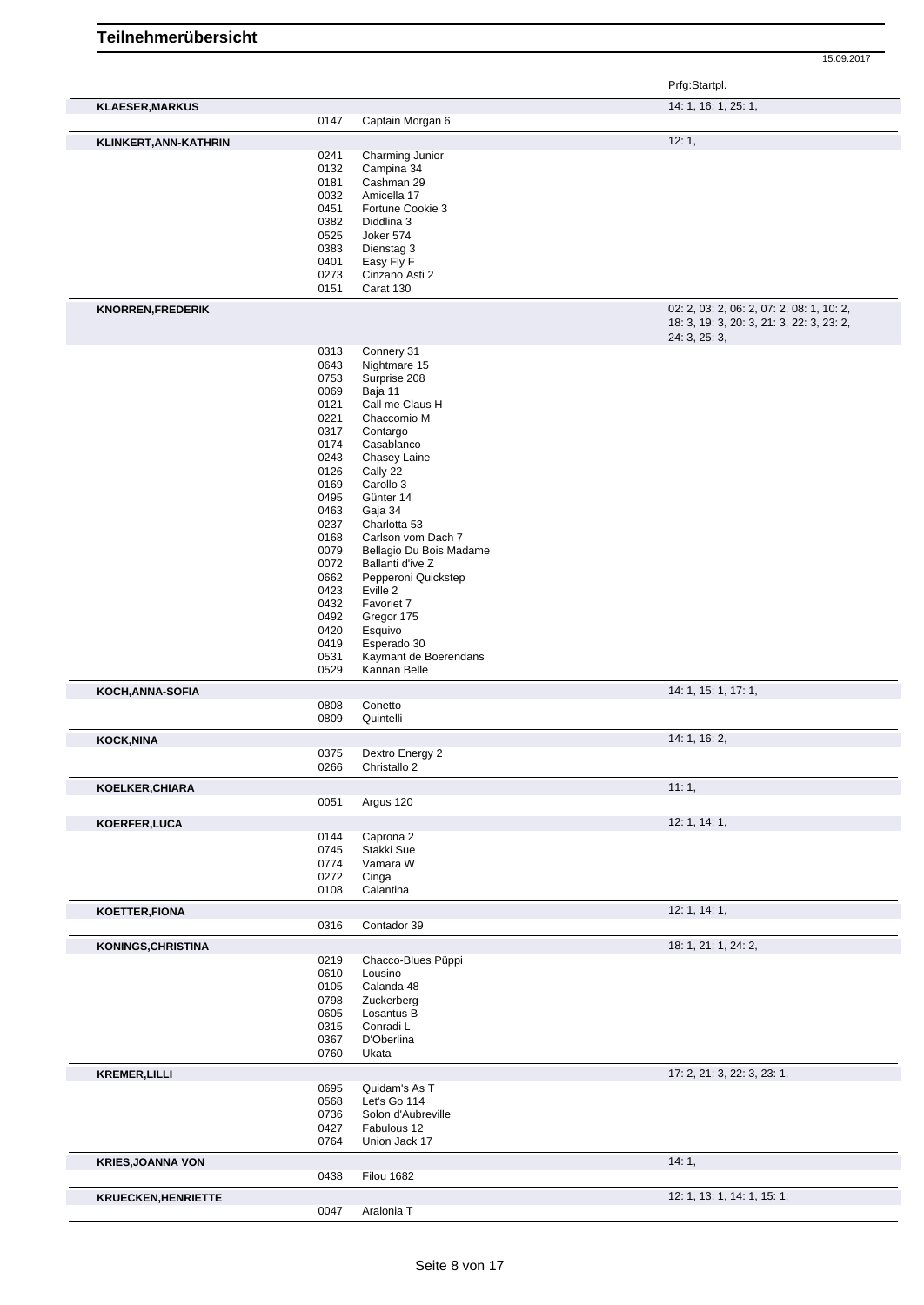|                            |              |                                    | 15.09.2017                                                 |
|----------------------------|--------------|------------------------------------|------------------------------------------------------------|
|                            |              |                                    | Prfg:Startpl.                                              |
| <b>KLAESER, MARKUS</b>     | 0147         | Captain Morgan 6                   | 14: 1, 16: 1, 25: 1,                                       |
|                            |              |                                    | 12:1,                                                      |
| KLINKERT, ANN-KATHRIN      | 0241         | Charming Junior                    |                                                            |
|                            | 0132         | Campina 34                         |                                                            |
|                            | 0181         | Cashman 29                         |                                                            |
|                            | 0032         | Amicella 17                        |                                                            |
|                            | 0451         | Fortune Cookie 3                   |                                                            |
|                            | 0382         | Diddlina 3                         |                                                            |
|                            | 0525         | Joker 574                          |                                                            |
|                            | 0383         | Dienstag 3                         |                                                            |
|                            | 0401<br>0273 | Easy Fly F<br>Cinzano Asti 2       |                                                            |
|                            | 0151         | Carat 130                          |                                                            |
|                            |              |                                    |                                                            |
| <b>KNORREN, FREDERIK</b>   |              |                                    | 02: 2, 03: 2, 06: 2, 07: 2, 08: 1, 10: 2,                  |
|                            |              |                                    | 18: 3, 19: 3, 20: 3, 21: 3, 22: 3, 23: 2,<br>24: 3, 25: 3, |
|                            | 0313         | Connery 31                         |                                                            |
|                            | 0643         | Nightmare 15                       |                                                            |
|                            | 0753         | Surprise 208                       |                                                            |
|                            | 0069         | Baja 11                            |                                                            |
|                            | 0121         | Call me Claus H                    |                                                            |
|                            | 0221         | Chaccomio M                        |                                                            |
|                            | 0317         | Contargo                           |                                                            |
|                            | 0174         | Casablanco                         |                                                            |
|                            | 0243         | Chasey Laine                       |                                                            |
|                            | 0126<br>0169 | Cally 22<br>Carollo 3              |                                                            |
|                            | 0495         | Günter 14                          |                                                            |
|                            | 0463         | Gaja 34                            |                                                            |
|                            | 0237         | Charlotta 53                       |                                                            |
|                            | 0168         | Carlson vom Dach 7                 |                                                            |
|                            | 0079         | Bellagio Du Bois Madame            |                                                            |
|                            | 0072         | Ballanti d'ive Z                   |                                                            |
|                            | 0662<br>0423 | Pepperoni Quickstep<br>Eville 2    |                                                            |
|                            | 0432         | Favoriet 7                         |                                                            |
|                            | 0492         | Gregor 175                         |                                                            |
|                            | 0420         | Esquivo                            |                                                            |
|                            | 0419         | Esperado 30                        |                                                            |
|                            | 0531         | Kaymant de Boerendans              |                                                            |
|                            | 0529         | Kannan Belle                       |                                                            |
| KOCH, ANNA-SOFIA           |              |                                    | 14: 1, 15: 1, 17: 1,                                       |
|                            | 0808         | Conetto<br>Quintelli               |                                                            |
|                            | 0809         |                                    |                                                            |
| <b>KOCK, NINA</b>          |              |                                    | 14: 1, 16: 2,                                              |
|                            | 0375         | Dextro Energy 2                    |                                                            |
|                            | 0266         | Christallo 2                       |                                                            |
| KOELKER, CHIARA            |              |                                    | 11:1,                                                      |
|                            | 0051         | Argus 120                          |                                                            |
| KOERFER, LUCA              |              |                                    | 12: 1, 14: 1,                                              |
|                            | 0144         | Caprona 2                          |                                                            |
|                            | 0745         | Stakki Sue                         |                                                            |
|                            | 0774         | Vamara W                           |                                                            |
|                            | 0272<br>0108 | Cinga<br>Calantina                 |                                                            |
|                            |              |                                    |                                                            |
| KOETTER, FIONA             |              |                                    | 12: 1, 14: 1,                                              |
|                            | 0316         | Contador 39                        |                                                            |
| KONINGS, CHRISTINA         |              |                                    | 18: 1, 21: 1, 24: 2,                                       |
|                            | 0219         | Chacco-Blues Püppi                 |                                                            |
|                            | 0610         | Lousino                            |                                                            |
|                            | 0105         | Calanda 48                         |                                                            |
|                            | 0798         | Zuckerberg                         |                                                            |
|                            | 0605         | Losantus B                         |                                                            |
|                            | 0315<br>0367 | Conradi L<br>D'Oberlina            |                                                            |
|                            | 0760         | Ukata                              |                                                            |
|                            |              |                                    |                                                            |
| <b>KREMER, LILLI</b>       |              |                                    | 17: 2, 21: 3, 22: 3, 23: 1,                                |
|                            | 0695         | Quidam's As T                      |                                                            |
|                            | 0568<br>0736 | Let's Go 114<br>Solon d'Aubreville |                                                            |
|                            | 0427         | Fabulous 12                        |                                                            |
|                            | 0764         | Union Jack 17                      |                                                            |
| <b>KRIES, JOANNA VON</b>   |              |                                    | 14:1,                                                      |
|                            | 0438         | <b>Filou 1682</b>                  |                                                            |
|                            |              |                                    |                                                            |
| <b>KRUECKEN, HENRIETTE</b> |              |                                    | 12: 1, 13: 1, 14: 1, 15: 1,                                |
|                            | 0047         | Aralonia T                         |                                                            |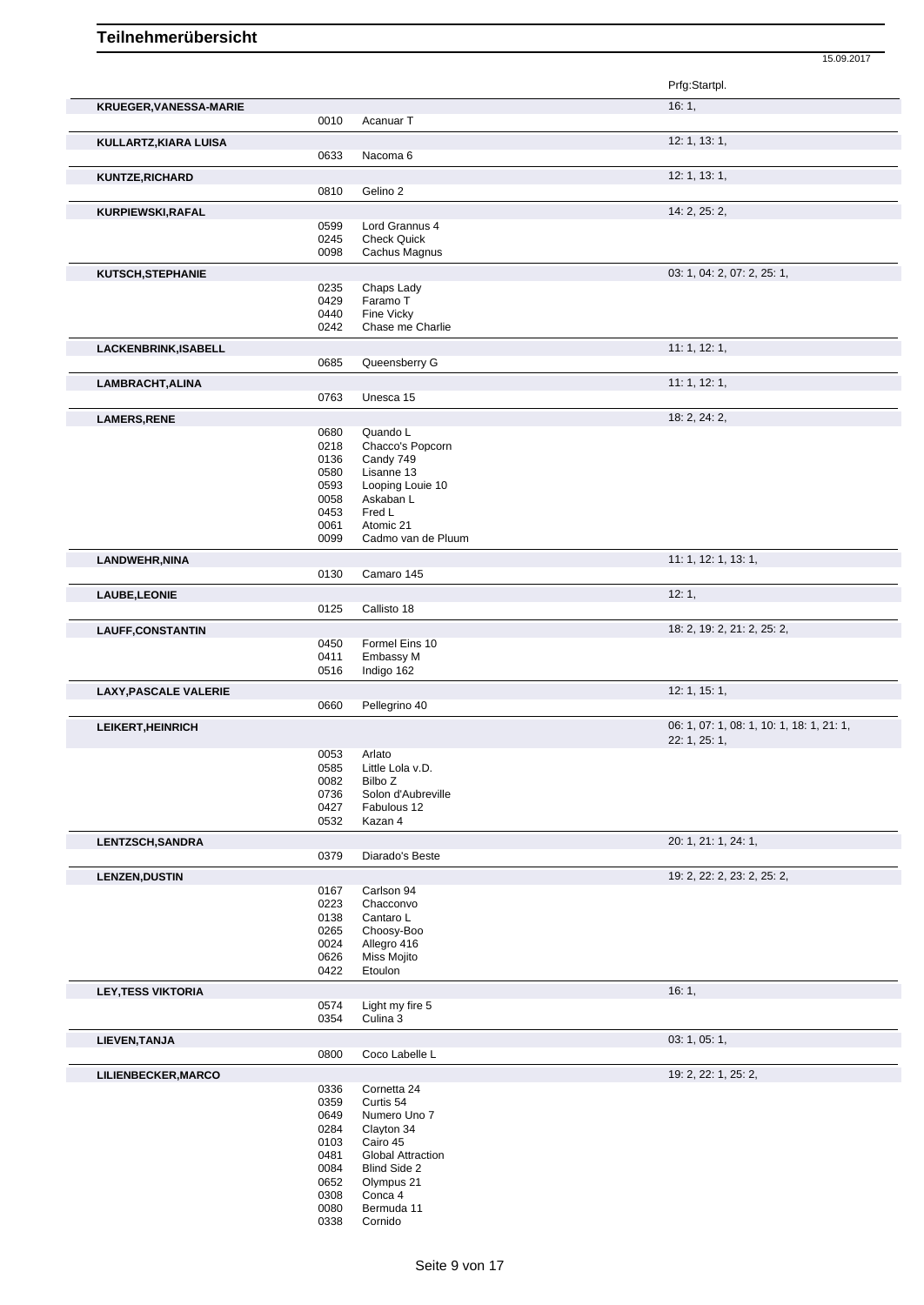|                              |              |                                | 15.09.2017                                |
|------------------------------|--------------|--------------------------------|-------------------------------------------|
|                              |              |                                | Prfg:Startpl.                             |
| KRUEGER, VANESSA-MARIE       |              |                                | 16:1,                                     |
|                              | 0010         | Acanuar T                      |                                           |
| KULLARTZ, KIARA LUISA        |              |                                | 12: 1, 13: 1,                             |
|                              | 0633         | Nacoma 6                       |                                           |
| <b>KUNTZE, RICHARD</b>       |              |                                | 12: 1, 13: 1,                             |
|                              | 0810         | Gelino 2                       |                                           |
| KURPIEWSKI, RAFAL            | 0599         | Lord Grannus 4                 | 14: 2, 25: 2,                             |
|                              | 0245         | <b>Check Quick</b>             |                                           |
|                              | 0098         | Cachus Magnus                  |                                           |
| KUTSCH, STEPHANIE            |              |                                | 03: 1, 04: 2, 07: 2, 25: 1,               |
|                              | 0235         | Chaps Lady                     |                                           |
|                              | 0429         | Faramo T                       |                                           |
|                              | 0440<br>0242 | Fine Vicky<br>Chase me Charlie |                                           |
| LACKENBRINK, ISABELL         |              |                                | 11: 1, 12: 1,                             |
|                              | 0685         | Queensberry G                  |                                           |
| LAMBRACHT, ALINA             |              |                                | 11:1, 12:1,                               |
|                              | 0763         | Unesca 15                      |                                           |
| <b>LAMERS, RENE</b>          |              |                                | 18: 2, 24: 2,                             |
|                              | 0680         | Quando L                       |                                           |
|                              | 0218         | Chacco's Popcorn               |                                           |
|                              | 0136         | Candy 749                      |                                           |
|                              | 0580         | Lisanne 13                     |                                           |
|                              | 0593<br>0058 | Looping Louie 10<br>Askaban L  |                                           |
|                              | 0453         | Fred L                         |                                           |
|                              | 0061         | Atomic 21                      |                                           |
|                              | 0099         | Cadmo van de Pluum             |                                           |
| LANDWEHR, NINA               |              |                                | 11: 1, 12: 1, 13: 1,                      |
|                              | 0130         | Camaro 145                     |                                           |
| LAUBE, LEONIE                |              |                                | 12:1,                                     |
|                              | 0125         | Callisto 18                    |                                           |
| <b>LAUFF,CONSTANTIN</b>      |              |                                | 18: 2, 19: 2, 21: 2, 25: 2,               |
|                              | 0450<br>0411 | Formel Eins 10<br>Embassy M    |                                           |
|                              | 0516         | Indigo 162                     |                                           |
| <b>LAXY, PASCALE VALERIE</b> |              |                                | 12: 1, 15: 1,                             |
|                              | 0660         | Pellegrino 40                  |                                           |
| <b>LEIKERT, HEINRICH</b>     |              |                                | 06: 1, 07: 1, 08: 1, 10: 1, 18: 1, 21: 1, |
|                              |              |                                | 22: 1, 25: 1,                             |
|                              | 0053         | Arlato                         |                                           |
|                              | 0585         | Little Lola v.D.<br>Bilbo Z    |                                           |
|                              | 0082<br>0736 | Solon d'Aubreville             |                                           |
|                              | 0427         | Fabulous 12                    |                                           |
|                              | 0532         | Kazan 4                        |                                           |
| <b>LENTZSCH, SANDRA</b>      |              |                                | 20: 1, 21: 1, 24: 1,                      |
|                              | 0379         | Diarado's Beste                |                                           |
| <b>LENZEN, DUSTIN</b>        |              |                                | 19: 2, 22: 2, 23: 2, 25: 2,               |
|                              | 0167         | Carlson 94                     |                                           |
|                              | 0223         | Chacconvo                      |                                           |
|                              | 0138<br>0265 | Cantaro L<br>Choosy-Boo        |                                           |
|                              | 0024         | Allegro 416                    |                                           |
|                              | 0626         | Miss Mojito                    |                                           |
|                              | 0422         | Etoulon                        |                                           |
| <b>LEY, TESS VIKTORIA</b>    |              |                                | 16:1,                                     |
|                              | 0574         | Light my fire 5                |                                           |
|                              | 0354         | Culina 3                       |                                           |
| LIEVEN, TANJA                |              |                                | 03: 1, 05: 1,                             |
|                              | 0800         | Coco Labelle L                 |                                           |
| LILIENBECKER, MARCO          |              |                                | 19: 2, 22: 1, 25: 2,                      |
|                              | 0336<br>0359 | Cornetta 24<br>Curtis 54       |                                           |
|                              | 0649         | Numero Uno 7                   |                                           |
|                              | 0284         | Clayton 34                     |                                           |
|                              | 0103         | Cairo 45                       |                                           |

- Global Attraction
- Blind Side 2
- 
- 
- Olympus 21
- Conca 4
- Bermuda 11
- Cornido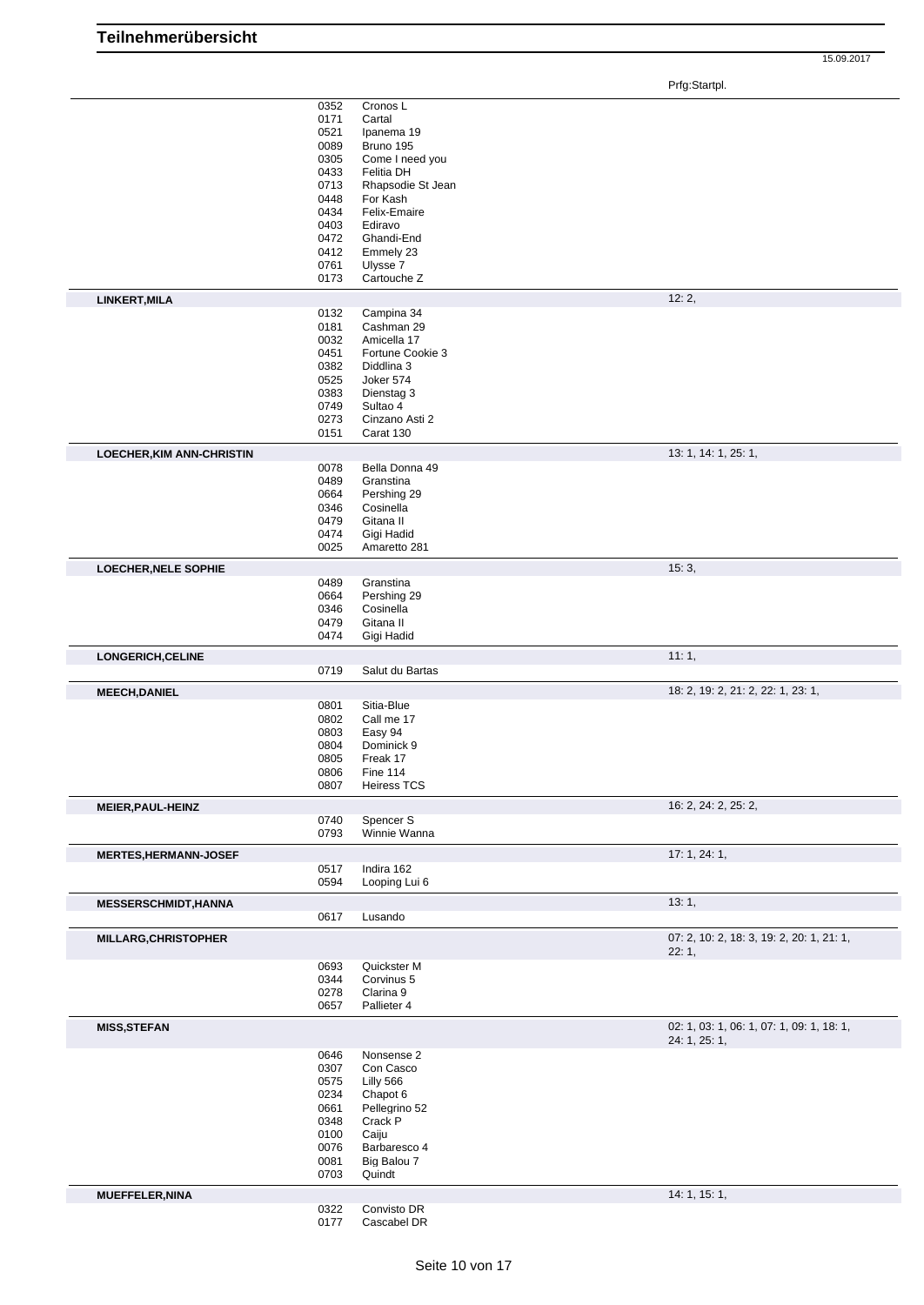|                                  | 0352         | Cronos L                   |                                           |
|----------------------------------|--------------|----------------------------|-------------------------------------------|
|                                  | 0171         | Cartal                     |                                           |
|                                  |              |                            |                                           |
|                                  | 0521         | Ipanema 19                 |                                           |
|                                  | 0089         | Bruno 195                  |                                           |
|                                  | 0305         | Come I need you            |                                           |
|                                  | 0433         | <b>Felitia DH</b>          |                                           |
|                                  | 0713         | Rhapsodie St Jean          |                                           |
|                                  | 0448         | For Kash                   |                                           |
|                                  | 0434         | Felix-Emaire               |                                           |
|                                  | 0403         | Ediravo                    |                                           |
|                                  | 0472         | Ghandi-End                 |                                           |
|                                  | 0412         | Emmely 23                  |                                           |
|                                  | 0761         | Ulysse 7                   |                                           |
|                                  |              |                            |                                           |
|                                  | 0173         | Cartouche Z                |                                           |
| LINKERT, MILA                    |              |                            | 12:2,                                     |
|                                  | 0132         | Campina 34                 |                                           |
|                                  | 0181         | Cashman 29                 |                                           |
|                                  | 0032         | Amicella 17                |                                           |
|                                  | 0451         | Fortune Cookie 3           |                                           |
|                                  | 0382         | Diddlina 3                 |                                           |
|                                  | 0525         | Joker 574                  |                                           |
|                                  | 0383         | Dienstag 3                 |                                           |
|                                  | 0749         | Sultao 4                   |                                           |
|                                  | 0273         | Cinzano Asti 2             |                                           |
|                                  | 0151         | Carat 130                  |                                           |
|                                  |              |                            |                                           |
| <b>LOECHER, KIM ANN-CHRISTIN</b> |              |                            | 13: 1, 14: 1, 25: 1,                      |
|                                  | 0078         | Bella Donna 49             |                                           |
|                                  | 0489         | Granstina                  |                                           |
|                                  | 0664         | Pershing 29                |                                           |
|                                  | 0346         | Cosinella                  |                                           |
|                                  | 0479         | Gitana II                  |                                           |
|                                  | 0474         | Gigi Hadid                 |                                           |
|                                  | 0025         | Amaretto 281               |                                           |
|                                  |              |                            |                                           |
| LOECHER, NELE SOPHIE             |              |                            | 15:3,                                     |
|                                  | 0489         | Granstina                  |                                           |
|                                  | 0664         | Pershing 29                |                                           |
|                                  | 0346         | Cosinella                  |                                           |
|                                  | 0479         | Gitana II                  |                                           |
|                                  | 0474         | Gigi Hadid                 |                                           |
|                                  |              |                            |                                           |
| LONGERICH, CELINE                |              |                            | 11:1,                                     |
|                                  | 0719         | Salut du Bartas            |                                           |
|                                  |              |                            |                                           |
|                                  |              |                            |                                           |
| <b>MEECH, DANIEL</b>             |              |                            | 18: 2, 19: 2, 21: 2, 22: 1, 23: 1,        |
|                                  | 0801         | Sitia-Blue                 |                                           |
|                                  | 0802         | Call me 17                 |                                           |
|                                  | 0803         | Easy 94                    |                                           |
|                                  | 0804         | Dominick 9                 |                                           |
|                                  | 0805         | Freak 17                   |                                           |
|                                  | 0806         | Fine 114                   |                                           |
|                                  | 0807         | <b>Heiress TCS</b>         |                                           |
|                                  |              |                            |                                           |
| <b>MEIER, PAUL-HEINZ</b>         |              |                            | 16: 2, 24: 2, 25: 2,                      |
|                                  | 0740         | Spencer <sub>S</sub>       |                                           |
|                                  | 0793         | Winnie Wanna               |                                           |
| <b>MERTES, HERMANN-JOSEF</b>     |              |                            | 17: 1, 24: 1,                             |
|                                  | 0517         | Indira 162                 |                                           |
|                                  | 0594         |                            |                                           |
|                                  |              | Looping Lui 6              |                                           |
| <b>MESSERSCHMIDT, HANNA</b>      |              |                            | 13:1,                                     |
|                                  | 0617         | Lusando                    |                                           |
|                                  |              |                            |                                           |
| MILLARG, CHRISTOPHER             |              |                            | 07: 2, 10: 2, 18: 3, 19: 2, 20: 1, 21: 1, |
|                                  |              |                            | 22:1,                                     |
|                                  | 0693         | Quickster M                |                                           |
|                                  | 0344         | Corvinus 5                 |                                           |
|                                  | 0278         | Clarina 9                  |                                           |
|                                  | 0657         | Pallieter 4                |                                           |
|                                  |              |                            |                                           |
| <b>MISS, STEFAN</b>              |              |                            | 02: 1, 03: 1, 06: 1, 07: 1, 09: 1, 18: 1, |
|                                  |              |                            | 24: 1, 25: 1,                             |
|                                  | 0646         | Nonsense 2                 |                                           |
|                                  | 0307         | Con Casco                  |                                           |
|                                  | 0575         | Lilly 566                  |                                           |
|                                  | 0234         | Chapot 6                   |                                           |
|                                  | 0661         | Pellegrino 52              |                                           |
|                                  | 0348         | Crack P                    |                                           |
|                                  | 0100         | Caiju                      |                                           |
|                                  | 0076         | Barbaresco 4               |                                           |
|                                  | 0081         | Big Balou 7                |                                           |
|                                  | 0703         | Quindt                     |                                           |
|                                  |              |                            |                                           |
| <b>MUEFFELER, NINA</b>           |              |                            | 14: 1, 15: 1,                             |
|                                  | 0322<br>0177 | Convisto DR<br>Cascabel DR |                                           |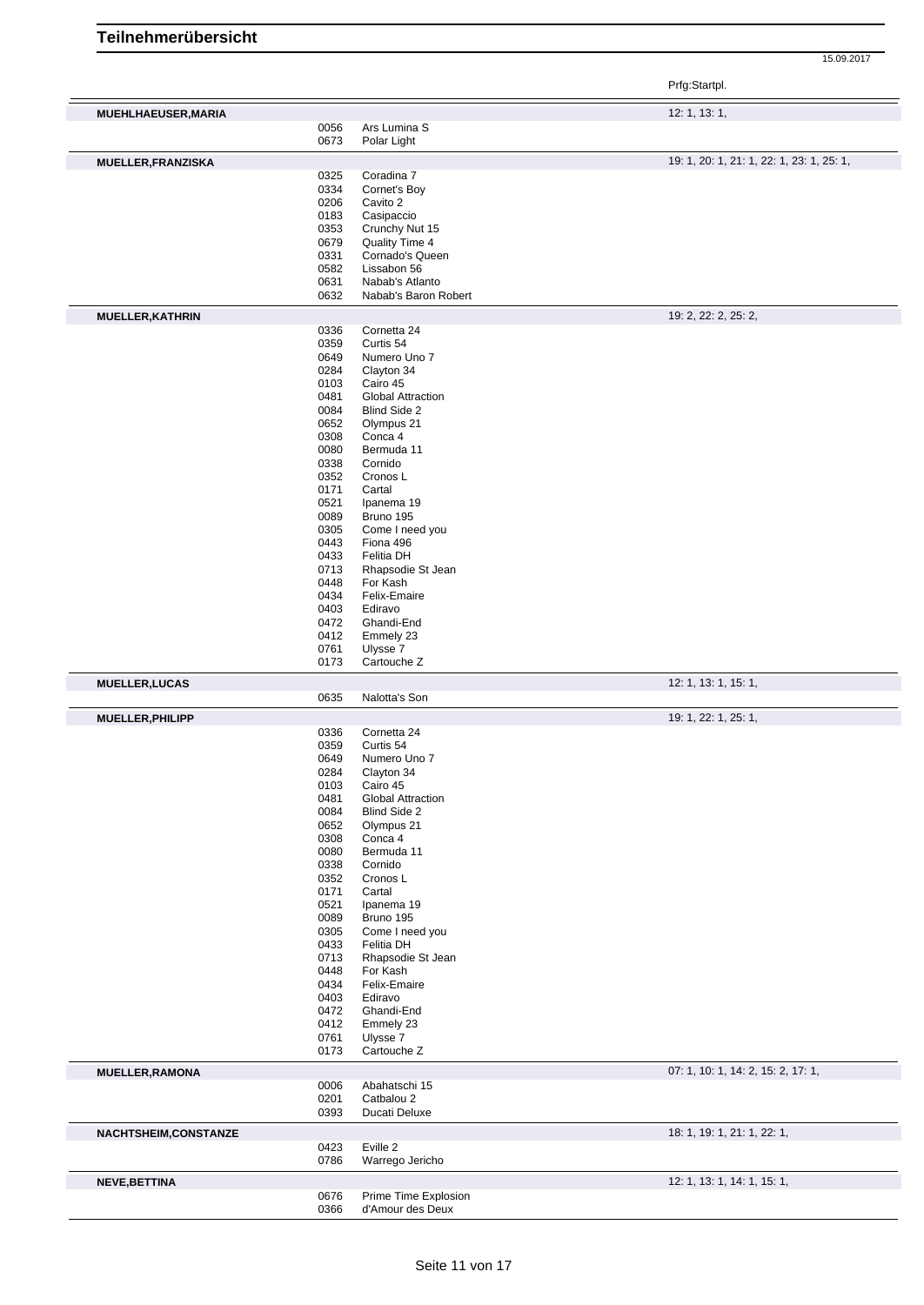|                           |              |                                   | Prfg:Startpl.                             |
|---------------------------|--------------|-----------------------------------|-------------------------------------------|
| MUEHLHAEUSER, MARIA       |              |                                   | 12: 1, 13: 1,                             |
|                           | 0056         | Ars Lumina S                      |                                           |
|                           | 0673         | Polar Light                       |                                           |
| <b>MUELLER, FRANZISKA</b> |              |                                   | 19: 1, 20: 1, 21: 1, 22: 1, 23: 1, 25: 1, |
|                           | 0325         | Coradina 7                        |                                           |
|                           | 0334         | Cornet's Boy                      |                                           |
|                           | 0206         | Cavito 2                          |                                           |
|                           | 0183         | Casipaccio                        |                                           |
|                           | 0353         | Crunchy Nut 15                    |                                           |
|                           | 0679<br>0331 | Quality Time 4<br>Cornado's Queen |                                           |
|                           | 0582         | Lissabon 56                       |                                           |
|                           | 0631         | Nabab's Atlanto                   |                                           |
|                           | 0632         | Nabab's Baron Robert              |                                           |
| <b>MUELLER, KATHRIN</b>   |              |                                   | 19: 2, 22: 2, 25: 2,                      |
|                           | 0336         | Cornetta 24                       |                                           |
|                           | 0359         | Curtis 54                         |                                           |
|                           | 0649         | Numero Uno 7                      |                                           |
|                           | 0284         | Clayton 34                        |                                           |
|                           | 0103         | Cairo 45                          |                                           |
|                           | 0481         | <b>Global Attraction</b>          |                                           |
|                           | 0084         | Blind Side 2                      |                                           |
|                           | 0652<br>0308 | Olympus 21<br>Conca 4             |                                           |
|                           | 0080         | Bermuda 11                        |                                           |
|                           | 0338         | Cornido                           |                                           |
|                           | 0352         | Cronos L                          |                                           |
|                           | 0171         | Cartal                            |                                           |
|                           | 0521         | Ipanema 19                        |                                           |
|                           | 0089         | Bruno 195                         |                                           |
|                           | 0305         | Come I need you                   |                                           |
|                           | 0443         | Fiona 496                         |                                           |
|                           | 0433         | Felitia DH                        |                                           |
|                           | 0713         | Rhapsodie St Jean                 |                                           |
|                           | 0448         | For Kash                          |                                           |
|                           | 0434         | Felix-Emaire                      |                                           |
|                           | 0403         | Ediravo                           |                                           |
|                           | 0472         | Ghandi-End                        |                                           |
|                           | 0412<br>0761 | Emmely 23<br>Ulysse 7             |                                           |
|                           | 0173         | Cartouche Z                       |                                           |
|                           |              |                                   |                                           |
| <b>MUELLER, LUCAS</b>     | 0635         | Nalotta's Son                     | 12: 1, 13: 1, 15: 1,                      |
| MUELLER, PHILIPP          |              |                                   | 19: 1, 22: 1, 25: 1,                      |
|                           | 0336         | Cornetta 24                       |                                           |
|                           | 0359         | Curtis 54                         |                                           |
|                           | 0649         | Numero Uno 7                      |                                           |
|                           | 0284         | Clayton 34                        |                                           |
|                           | 0103         | Cairo 45                          |                                           |
|                           | 0481         | <b>Global Attraction</b>          |                                           |
|                           | 0084         | Blind Side 2                      |                                           |
|                           | 0652         | Olympus 21                        |                                           |
|                           | 0308         | Conca 4                           |                                           |
|                           | 0080         | Bermuda 11                        |                                           |
|                           | 0338         | Cornido                           |                                           |
|                           | 0352         | Cronos L                          |                                           |
|                           | 0171<br>0521 | Cartal<br>Ipanema 19              |                                           |
|                           | 0089         | Bruno 195                         |                                           |
|                           | 0305         | Come I need you                   |                                           |
|                           | 0433         | Felitia DH                        |                                           |
|                           | 0713         | Rhapsodie St Jean                 |                                           |
|                           | 0448         | For Kash                          |                                           |
|                           | 0434         | Felix-Emaire                      |                                           |
|                           | 0403         | Ediravo                           |                                           |
|                           | 0472         | Ghandi-End                        |                                           |
|                           | 0412         | Emmely 23                         |                                           |
|                           | 0761         | Ulysse 7                          |                                           |
|                           | 0173         | Cartouche <sub>Z</sub>            |                                           |
| <b>MUELLER, RAMONA</b>    | 0006         | Abahatschi 15                     | 07: 1, 10: 1, 14: 2, 15: 2, 17: 1,        |
|                           | 0201         | Catbalou 2                        |                                           |
|                           | 0393         | Ducati Deluxe                     |                                           |
| NACHTSHEIM, CONSTANZE     |              |                                   | 18: 1, 19: 1, 21: 1, 22: 1,               |
|                           | 0423<br>0786 | Eville 2<br>Warrego Jericho       |                                           |
|                           |              |                                   |                                           |
| NEVE, BETTINA             | 0676         | Prime Time Explosion              | 12: 1, 13: 1, 14: 1, 15: 1,               |
|                           | 0366         | d'Amour des Deux                  |                                           |
|                           |              |                                   |                                           |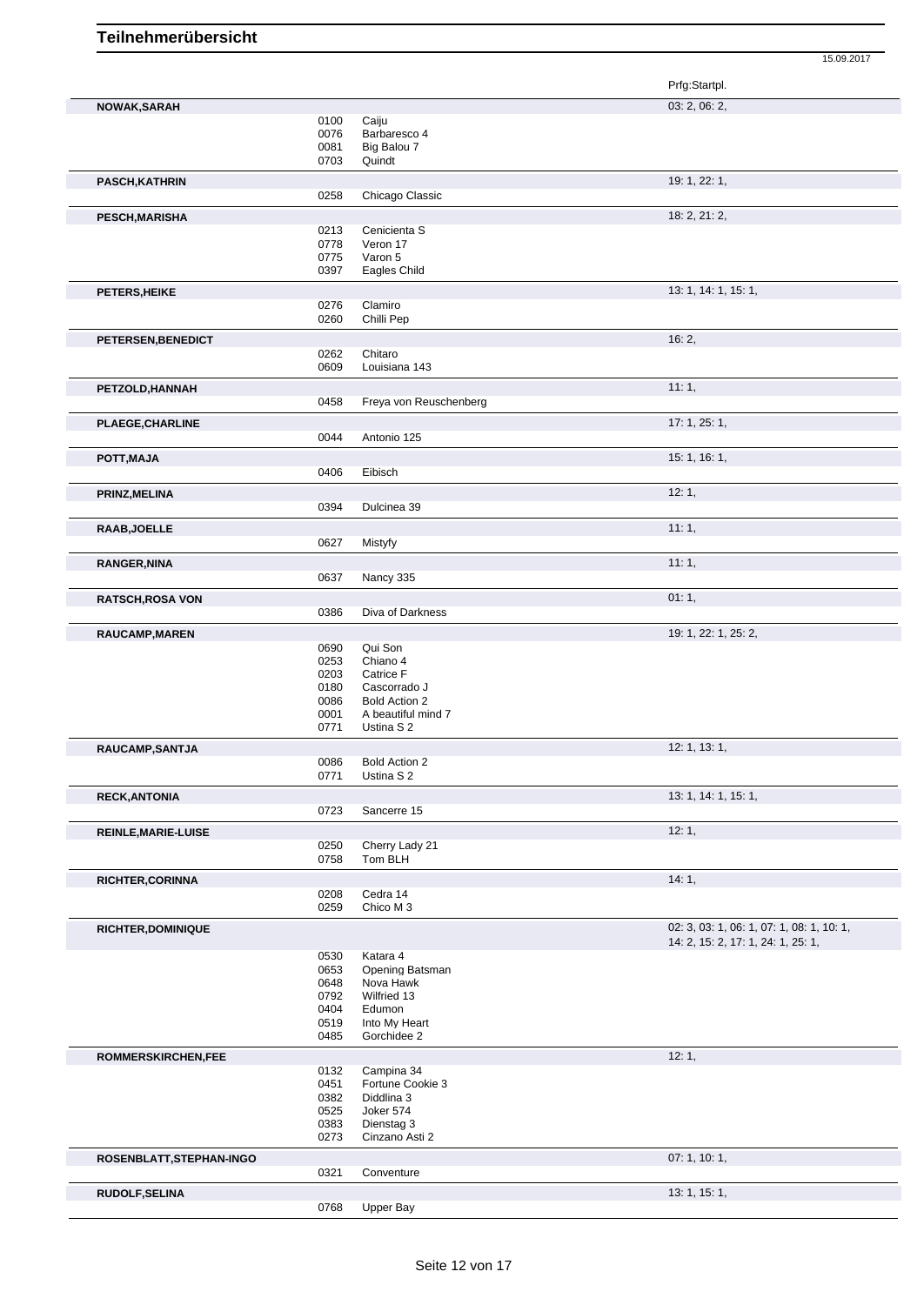15.09.2017 Prfg:Startpl. **NOWAK,SARAH** 03: 2, 06: 2, 06: 2, 06: 2, 06: 2, 06: 2, 06: 2, 06: 2, 06: 2, 06: 2, 06: 2, 06: 2, 06: 2, 06: 2, 06: 2, 06: 2, 06: 2, 06: 2, 06: 2, 06: 2, 06: 2, 06: 2, 06: 2, 06: 2, 06: 2, 06: 2, 06: 2, 06: 2, 06: 2, 06: 2 0100 Caiju<br>0076 Barba 0076 Barbaresco 4<br>0081 Big Balou 7 0081 Big Balou 7<br>0703 Quindt Quindt **PASCH,KATHRIN** 19: 1, 22: 1, Chicago Classic **PESCH,MARISHA** 18: 2, 21: 2, 0213 Cenicienta S<br>0778 Veron 17 0778 Veron 17<br>0775 Varon 5 0775 Varon 5<br>0397 Eagles C Eagles Child **PETERS, HEIKE** 13: 1, 14: 1, 15: 1, 15: 1, 15: 1, 15: 1, 15: 1, 15: 1, 15: 1, 15: 1, 15: 1, 15: 1, 15: 1, 15: 1, 15: 1, 15: 1, 15: 1, 15: 1, 15: 1, 15: 1, 15: 1, 15: 1, 15: 1, 15: 1, 15: 1, 15: 1, 15: 1, 15: 1, 15: 1, 15: Clamiro 0260 Chilli Pep **PETERSEN,BENEDICT** 16: 2, 0262 Chitaro<br>0609 Louisiar Louisiana 143 **PETZOLD,HANNAH** 11: 1, Freya von Reuschenberg

**PLAEGE,CHARLINE** 17: 1, 25: 1, Antonio 125 **POTT,MAJA** 15: 1, 16: 1, 16: 1, 16: 1, 16: 1, 16: 1, 16: 1, 16: 1, 16: 1, 16: 1, 16: 1, 16: 1, 16: 1, 16: 1, 16: 1, 0406 Eibisch **PRINZ,MELINA** 12: 1, 0394 Dulcinea 39 **RAAB,JOELLE** 11: 1, 0627 Mistyfy **RANGER,NINA** 11: 1, Nancy 335 **RATSCH,ROSA VON** 01: 1, 0386 Diva of Darkness 01: 1, 01: 1,

Diva of Darkness

| <b>RAUCAMP, MAREN</b>      |                                                      |                                                                                                              | 19: 1, 22: 1, 25: 2,                                                            |
|----------------------------|------------------------------------------------------|--------------------------------------------------------------------------------------------------------------|---------------------------------------------------------------------------------|
|                            | 0690<br>0253<br>0203<br>0180<br>0086<br>0001<br>0771 | Qui Son<br>Chiano 4<br>Catrice F<br>Cascorrado J<br><b>Bold Action 2</b><br>A beautiful mind 7<br>Ustina S 2 |                                                                                 |
| RAUCAMP, SANTJA            |                                                      |                                                                                                              | 12: 1, 13: 1,                                                                   |
|                            | 0086<br>0771                                         | <b>Bold Action 2</b><br>Ustina S 2                                                                           |                                                                                 |
| <b>RECK, ANTONIA</b>       |                                                      |                                                                                                              | 13: 1, 14: 1, 15: 1,                                                            |
|                            | 0723                                                 | Sancerre 15                                                                                                  |                                                                                 |
| <b>REINLE, MARIE-LUISE</b> |                                                      |                                                                                                              | 12:1,                                                                           |
|                            | 0250<br>0758                                         | Cherry Lady 21<br>Tom BLH                                                                                    |                                                                                 |
| <b>RICHTER, CORINNA</b>    |                                                      |                                                                                                              | 14:1,                                                                           |
|                            | 0208<br>0259                                         | Cedra 14<br>Chico M 3                                                                                        |                                                                                 |
| <b>RICHTER, DOMINIQUE</b>  |                                                      |                                                                                                              | 02: 3, 03: 1, 06: 1, 07: 1, 08: 1, 10: 1,<br>14: 2, 15: 2, 17: 1, 24: 1, 25: 1, |
|                            | 0530<br>0653<br>0648<br>0792<br>0404<br>0519         | Katara 4<br>Opening Batsman<br>Nova Hawk<br>Wilfried 13<br>Edumon<br>Into My Heart                           |                                                                                 |
|                            | 0485                                                 | Gorchidee 2                                                                                                  |                                                                                 |
| <b>ROMMERSKIRCHEN,FEE</b>  |                                                      | Campina 34                                                                                                   | 12:1,                                                                           |

0383 Dienstag 3 0273 Cinzano Asti 2 **ROSENBLATT,STEPHAN-INGO** 07: 1, 10: 1, Conventure **RUDOLF,SELINA** 13: 1, 15: 1, 0768 Upper Bay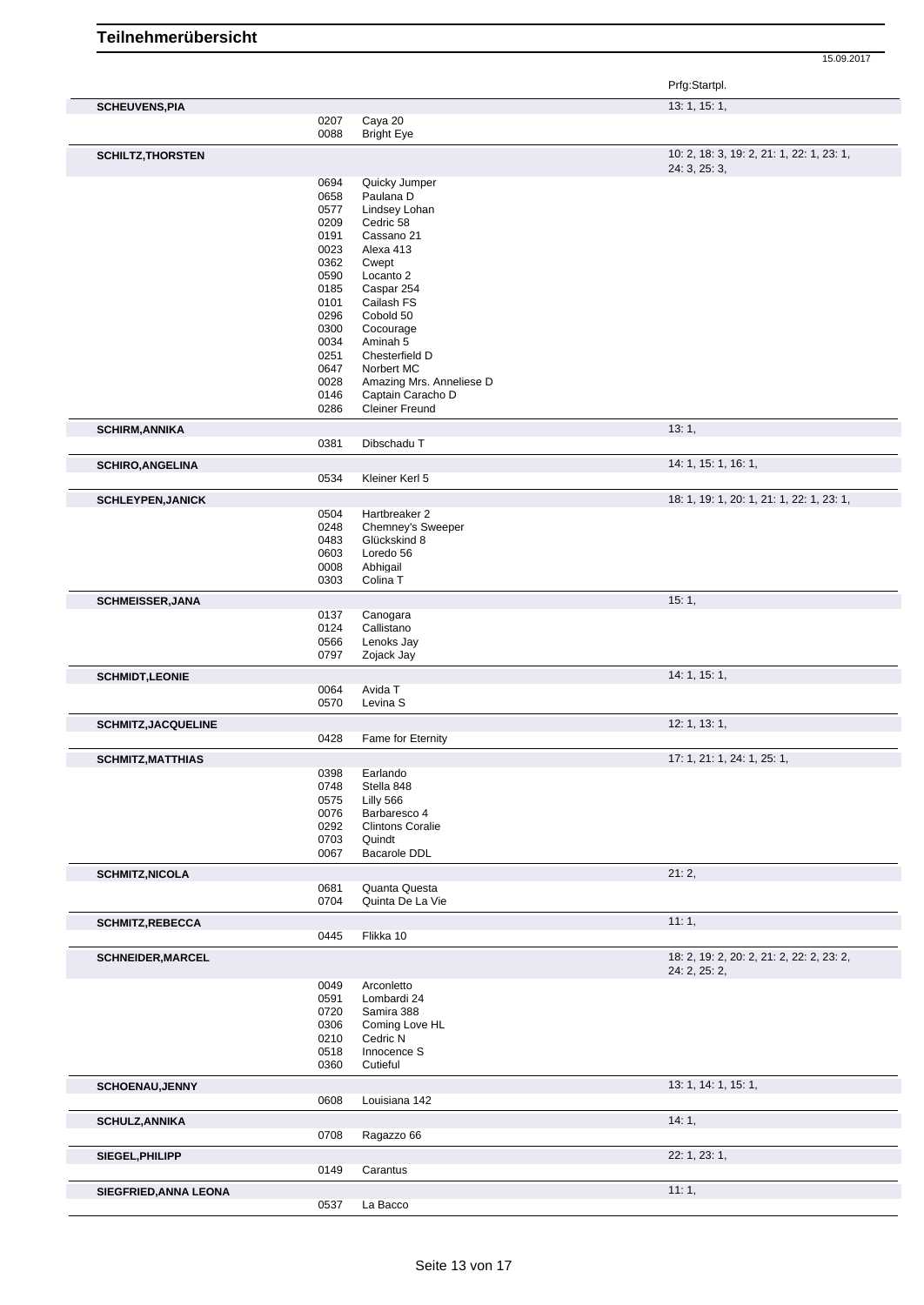|                            |              |                               | Prfg:Startpl.                                              |
|----------------------------|--------------|-------------------------------|------------------------------------------------------------|
| <b>SCHEUVENS, PIA</b>      |              |                               | 13: 1, 15: 1,                                              |
|                            | 0207         | Caya 20                       |                                                            |
|                            | 0088         | <b>Bright Eye</b>             |                                                            |
| <b>SCHILTZ, THORSTEN</b>   |              |                               | 10: 2, 18: 3, 19: 2, 21: 1, 22: 1, 23: 1,<br>24: 3, 25: 3, |
|                            | 0694         | Quicky Jumper                 |                                                            |
|                            | 0658<br>0577 | Paulana D<br>Lindsey Lohan    |                                                            |
|                            | 0209         | Cedric 58                     |                                                            |
|                            | 0191         | Cassano 21                    |                                                            |
|                            | 0023         | Alexa 413                     |                                                            |
|                            | 0362         | Cwept                         |                                                            |
|                            | 0590         | Locanto 2                     |                                                            |
|                            | 0185         | Caspar 254                    |                                                            |
|                            | 0101         | Cailash FS                    |                                                            |
|                            | 0296         | Cobold 50                     |                                                            |
|                            | 0300<br>0034 | Cocourage<br>Aminah 5         |                                                            |
|                            | 0251         | Chesterfield D                |                                                            |
|                            | 0647         | Norbert MC                    |                                                            |
|                            | 0028         | Amazing Mrs. Anneliese D      |                                                            |
|                            | 0146         | Captain Caracho D             |                                                            |
|                            | 0286         | <b>Cleiner Freund</b>         |                                                            |
| <b>SCHIRM, ANNIKA</b>      | 0381         | Dibschadu T                   | 13:1,                                                      |
|                            |              |                               |                                                            |
| <b>SCHIRO, ANGELINA</b>    | 0534         | Kleiner Kerl 5                | 14: 1, 15: 1, 16: 1,                                       |
|                            |              |                               | 18: 1, 19: 1, 20: 1, 21: 1, 22: 1, 23: 1,                  |
| <b>SCHLEYPEN, JANICK</b>   | 0504         | Hartbreaker 2                 |                                                            |
|                            | 0248         | Chemney's Sweeper             |                                                            |
|                            | 0483         | Glückskind 8                  |                                                            |
|                            | 0603         | Loredo 56                     |                                                            |
|                            | 0008         | Abhigail                      |                                                            |
|                            | 0303         | Colina T                      |                                                            |
| <b>SCHMEISSER, JANA</b>    |              |                               | 15:1,                                                      |
|                            | 0137         | Canogara                      |                                                            |
|                            | 0124         | Callistano                    |                                                            |
|                            | 0566         | Lenoks Jay                    |                                                            |
|                            | 0797         | Zojack Jay                    |                                                            |
| <b>SCHMIDT,LEONIE</b>      |              | Avida T                       | 14: 1, 15: 1,                                              |
|                            | 0064<br>0570 | Levina S                      |                                                            |
|                            |              |                               | 12: 1, 13: 1,                                              |
| <b>SCHMITZ, JACQUELINE</b> | 0428         | Fame for Eternity             |                                                            |
| <b>SCHMITZ, MATTHIAS</b>   |              |                               | 17: 1, 21: 1, 24: 1, 25: 1,                                |
|                            | 0398         | Earlando                      |                                                            |
|                            | 0748         | Stella 848                    |                                                            |
|                            | 0575         | Lilly 566                     |                                                            |
|                            | 0076         | Barbaresco 4                  |                                                            |
|                            | 0292         | <b>Clintons Coralie</b>       |                                                            |
|                            | 0703<br>0067 | Quindt<br><b>Bacarole DDL</b> |                                                            |
|                            |              |                               | 21:2,                                                      |
| <b>SCHMITZ, NICOLA</b>     | 0681         | Quanta Questa                 |                                                            |
|                            | 0704         | Quinta De La Vie              |                                                            |
| <b>SCHMITZ, REBECCA</b>    |              |                               | 11:1,                                                      |
|                            | 0445         | Flikka 10                     |                                                            |
| <b>SCHNEIDER, MARCEL</b>   |              |                               | 18: 2, 19: 2, 20: 2, 21: 2, 22: 2, 23: 2,                  |
|                            |              |                               | 24: 2, 25: 2,                                              |
|                            | 0049         | Arconletto                    |                                                            |
|                            | 0591<br>0720 | Lombardi 24<br>Samira 388     |                                                            |
|                            | 0306         | Coming Love HL                |                                                            |
|                            | 0210         | Cedric N                      |                                                            |
|                            | 0518         | Innocence S                   |                                                            |
|                            | 0360         | Cutieful                      |                                                            |
| <b>SCHOENAU, JENNY</b>     |              |                               | 13: 1, 14: 1, 15: 1,                                       |
|                            | 0608         | Louisiana 142                 |                                                            |
| <b>SCHULZ, ANNIKA</b>      |              |                               | 14:1,                                                      |
|                            | 0708         | Ragazzo 66                    |                                                            |
| SIEGEL, PHILIPP            |              |                               | 22: 1, 23: 1,                                              |
|                            | 0149         | Carantus                      |                                                            |
| SIEGFRIED, ANNA LEONA      |              |                               | 11:1,                                                      |
|                            | 0537         | La Bacco                      |                                                            |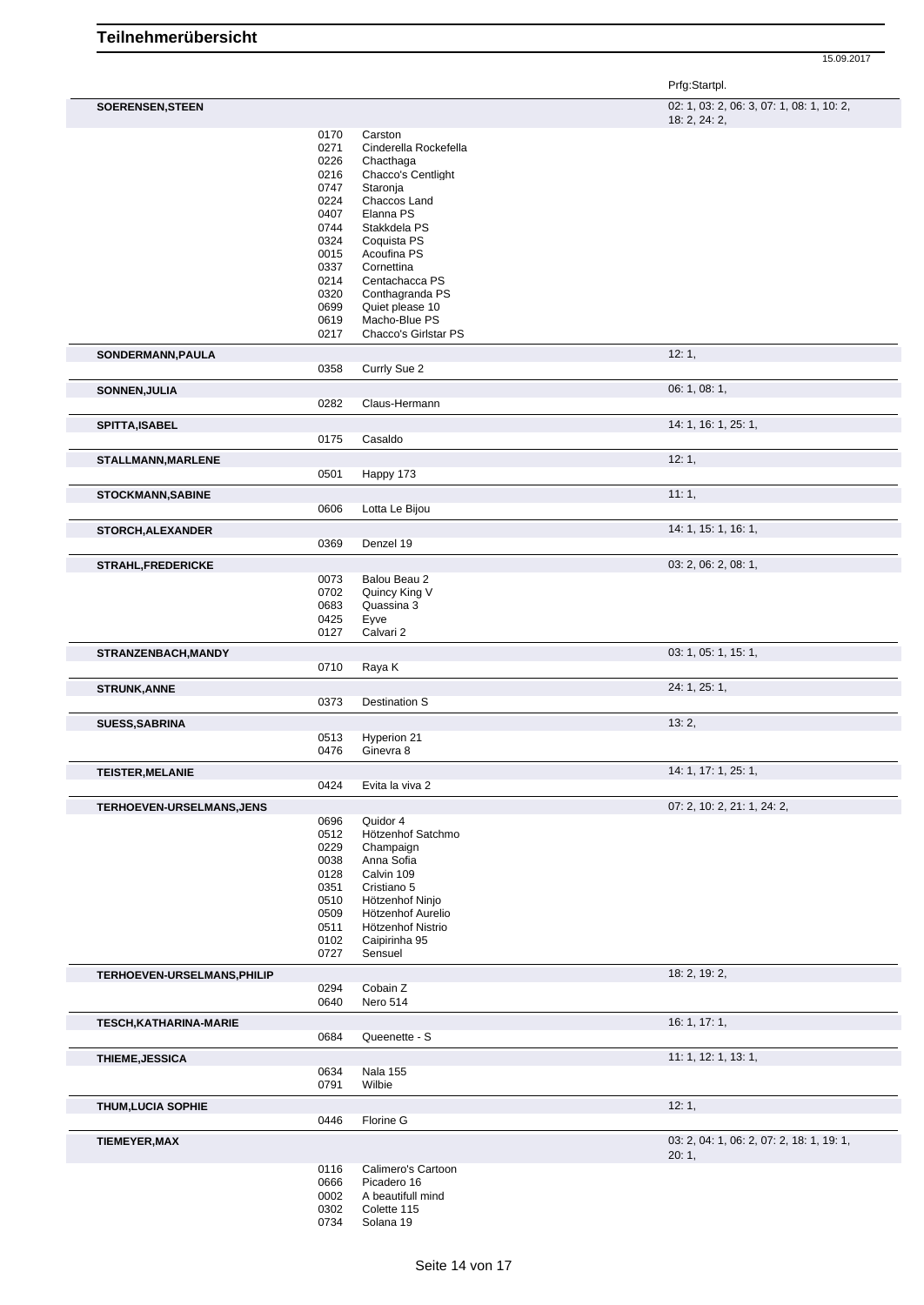| <b>SOERENSEN, STEEN</b> | 02: 1, 03: 2, 06: 3, 07: 1, 08: 1, 10: 2 |
|-------------------------|------------------------------------------|
|                         | 19.231.2                                 |

|                               |              |                                  | 18: 2, 24: 2,                             |
|-------------------------------|--------------|----------------------------------|-------------------------------------------|
|                               | 0170         | Carston                          |                                           |
|                               | 0271         | Cinderella Rockefella            |                                           |
|                               | 0226         | Chacthaga                        |                                           |
|                               | 0216         | Chacco's Centlight               |                                           |
|                               | 0747         | Staronja                         |                                           |
|                               | 0224         | Chaccos Land                     |                                           |
|                               | 0407         | Elanna PS                        |                                           |
|                               | 0744         | Stakkdela PS                     |                                           |
|                               | 0324         | Coquista PS                      |                                           |
|                               | 0015         | Acoufina PS                      |                                           |
|                               | 0337         | Cornettina<br>Centachacca PS     |                                           |
|                               | 0214<br>0320 | Conthagranda PS                  |                                           |
|                               | 0699         | Quiet please 10                  |                                           |
|                               | 0619         | Macho-Blue PS                    |                                           |
|                               | 0217         | Chacco's Girlstar PS             |                                           |
|                               |              |                                  | 12:1,                                     |
| SONDERMANN, PAULA             | 0358         | Currly Sue 2                     |                                           |
|                               |              |                                  | 06: 1, 08: 1,                             |
| SONNEN, JULIA                 | 0282         | Claus-Hermann                    |                                           |
|                               |              |                                  |                                           |
| SPITTA, ISABEL                | 0175         | Casaldo                          | 14: 1, 16: 1, 25: 1,                      |
|                               |              |                                  |                                           |
| STALLMANN, MARLENE            |              |                                  | 12:1,                                     |
|                               | 0501         | Happy 173                        |                                           |
| <b>STOCKMANN, SABINE</b>      | 0606         |                                  | 11:1,                                     |
|                               |              | Lotta Le Bijou                   |                                           |
| <b>STORCH, ALEXANDER</b>      |              |                                  | 14: 1, 15: 1, 16: 1,                      |
|                               | 0369         | Denzel 19                        |                                           |
| <b>STRAHL, FREDERICKE</b>     |              |                                  | 03: 2, 06: 2, 08: 1,                      |
|                               | 0073<br>0702 | Balou Beau 2                     |                                           |
|                               | 0683         | Quincy King V<br>Quassina 3      |                                           |
|                               | 0425         |                                  |                                           |
|                               | 0127         | Eyve<br>Calvari 2                |                                           |
| STRANZENBACH, MANDY           |              |                                  | 03: 1, 05: 1, 15: 1,                      |
|                               | 0710         | Raya K                           |                                           |
|                               |              |                                  | 24: 1, 25: 1,                             |
| <b>STRUNK, ANNE</b>           | 0373         | Destination S                    |                                           |
|                               |              |                                  |                                           |
| <b>SUESS, SABRINA</b>         | 0513         | Hyperion 21                      | 13:2,                                     |
|                               | 0476         | Ginevra 8                        |                                           |
| <b>TEISTER, MELANIE</b>       |              |                                  | 14: 1, 17: 1, 25: 1,                      |
|                               | 0424         | Evita la viva 2                  |                                           |
| TERHOEVEN-URSELMANS, JENS     |              |                                  | 07: 2, 10: 2, 21: 1, 24: 2,               |
|                               | 0696         | Quidor 4                         |                                           |
|                               | 0512         | Hötzenhof Satchmo                |                                           |
|                               | 0229         | Champaign                        |                                           |
|                               | 0038         | Anna Sofia                       |                                           |
|                               | 0128         | Calvin 109                       |                                           |
|                               | 0351         | Cristiano 5                      |                                           |
|                               | 0510         | Hötzenhof Ninjo                  |                                           |
|                               | 0509         | Hötzenhof Aurelio                |                                           |
|                               | 0511         | Hötzenhof Nistrio                |                                           |
|                               | 0102         | Caipirinha 95                    |                                           |
|                               | 0727         | Sensuel                          |                                           |
| TERHOEVEN-URSELMANS, PHILIP   |              |                                  | 18: 2, 19: 2,                             |
|                               | 0294<br>0640 | Cobain Z<br>Nero 514             |                                           |
| <b>TESCH, KATHARINA-MARIE</b> |              |                                  | 16: 1, 17: 1,                             |
|                               | 0684         | Queenette - S                    |                                           |
| <b>THIEME, JESSICA</b>        |              |                                  | 11: 1, 12: 1, 13: 1,                      |
|                               | 0634         | <b>Nala 155</b>                  |                                           |
|                               | 0791         | Wilbie                           |                                           |
| <b>THUM, LUCIA SOPHIE</b>     |              |                                  | 12:1,                                     |
|                               | 0446         | Florine G                        |                                           |
| <b>TIEMEYER, MAX</b>          |              |                                  | 03: 2, 04: 1, 06: 2, 07: 2, 18: 1, 19: 1, |
|                               |              |                                  | 20:1,                                     |
|                               | 0116         | Calimero's Cartoon               |                                           |
|                               | 0666         | Picadero 16                      |                                           |
|                               | 0002<br>0302 | A beautifull mind<br>Colette 115 |                                           |
|                               | 0734         | Solana 19                        |                                           |
|                               |              |                                  |                                           |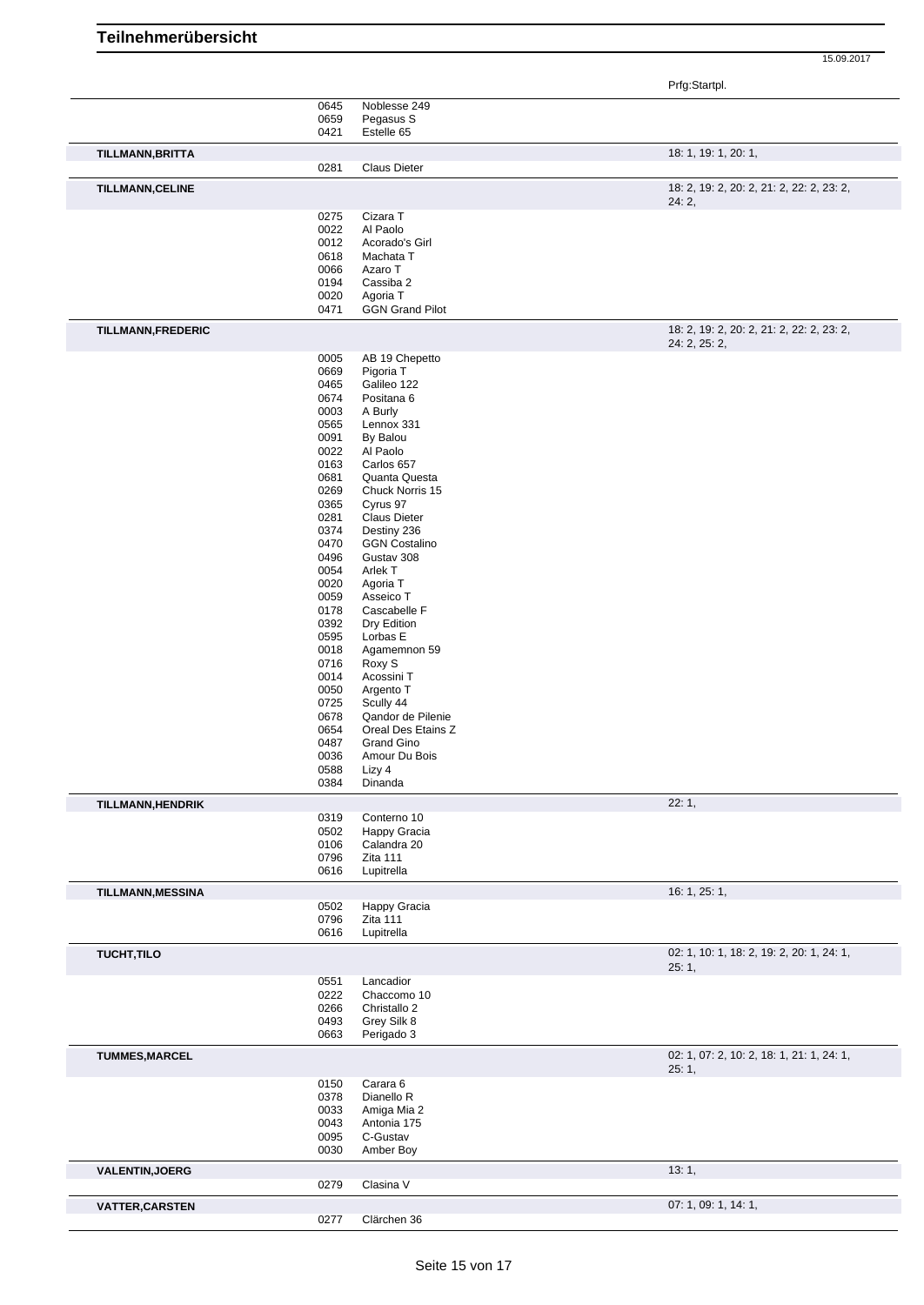Prfg:Startpl.

|                          | 0645 | Noblesse 249           |                                           |
|--------------------------|------|------------------------|-------------------------------------------|
|                          | 0659 | Pegasus S              |                                           |
|                          | 0421 | Estelle 65             |                                           |
|                          |      |                        |                                           |
| TILLMANN, BRITTA         |      |                        | 18: 1, 19: 1, 20: 1,                      |
|                          | 0281 | <b>Claus Dieter</b>    |                                           |
|                          |      |                        |                                           |
| <b>TILLMANN, CELINE</b>  |      |                        | 18: 2, 19: 2, 20: 2, 21: 2, 22: 2, 23: 2, |
|                          |      |                        | 24:2,                                     |
|                          | 0275 | Cizara T               |                                           |
|                          | 0022 | Al Paolo               |                                           |
|                          | 0012 | Acorado's Girl         |                                           |
|                          |      | Machata T              |                                           |
|                          | 0618 |                        |                                           |
|                          | 0066 | Azaro T                |                                           |
|                          | 0194 | Cassiba 2              |                                           |
|                          | 0020 | Agoria T               |                                           |
|                          | 0471 | <b>GGN Grand Pilot</b> |                                           |
|                          |      |                        |                                           |
| TILLMANN, FREDERIC       |      |                        | 18: 2, 19: 2, 20: 2, 21: 2, 22: 2, 23: 2, |
|                          |      |                        | 24: 2, 25: 2,                             |
|                          | 0005 | AB 19 Chepetto         |                                           |
|                          | 0669 | Pigoria T              |                                           |
|                          |      |                        |                                           |
|                          | 0465 | Galileo 122            |                                           |
|                          | 0674 | Positana 6             |                                           |
|                          | 0003 | A Burly                |                                           |
|                          | 0565 | Lennox 331             |                                           |
|                          | 0091 | By Balou               |                                           |
|                          |      |                        |                                           |
|                          | 0022 | Al Paolo               |                                           |
|                          | 0163 | Carlos 657             |                                           |
|                          | 0681 | Quanta Questa          |                                           |
|                          | 0269 | Chuck Norris 15        |                                           |
|                          |      |                        |                                           |
|                          | 0365 | Cyrus 97               |                                           |
|                          | 0281 | <b>Claus Dieter</b>    |                                           |
|                          | 0374 | Destiny 236            |                                           |
|                          | 0470 | <b>GGN Costalino</b>   |                                           |
|                          |      |                        |                                           |
|                          | 0496 | Gustav 308             |                                           |
|                          | 0054 | Arlek T                |                                           |
|                          | 0020 | Agoria T               |                                           |
|                          | 0059 | Asseico T              |                                           |
|                          |      |                        |                                           |
|                          | 0178 | Cascabelle F           |                                           |
|                          | 0392 | Dry Edition            |                                           |
|                          | 0595 | Lorbas E               |                                           |
|                          | 0018 | Agamemnon 59           |                                           |
|                          | 0716 |                        |                                           |
|                          |      | Roxy S                 |                                           |
|                          | 0014 | Acossini T             |                                           |
|                          | 0050 | Argento T              |                                           |
|                          | 0725 | Scully 44              |                                           |
|                          | 0678 | Qandor de Pilenie      |                                           |
|                          |      |                        |                                           |
|                          | 0654 | Oreal Des Etains Z     |                                           |
|                          | 0487 | Grand Gino             |                                           |
|                          | 0036 | Amour Du Bois          |                                           |
|                          | 0588 | Lizy 4                 |                                           |
|                          | 0384 | Dinanda                |                                           |
|                          |      |                        |                                           |
| <b>TILLMANN, HENDRIK</b> |      |                        | 22:1,                                     |
|                          | 0319 | Conterno 10            |                                           |
|                          | 0502 | Happy Gracia           |                                           |
|                          | 0106 | Calandra 20            |                                           |
|                          | 0796 | Zita 111               |                                           |
|                          | 0616 | Lupitrella             |                                           |
|                          |      |                        |                                           |
| TILLMANN, MESSINA        |      |                        | 16: 1, 25: 1,                             |
|                          | 0502 | Happy Gracia           |                                           |
|                          | 0796 | Zita 111               |                                           |
|                          |      |                        |                                           |
|                          | 0616 | Lupitrella             |                                           |
| <b>TUCHT, TILO</b>       |      |                        | 02: 1, 10: 1, 18: 2, 19: 2, 20: 1, 24: 1, |
|                          |      |                        | 25:1,                                     |
|                          | 0551 | Lancadior              |                                           |
|                          |      |                        |                                           |
|                          | 0222 | Chaccomo 10            |                                           |
|                          | 0266 | Christallo 2           |                                           |
|                          | 0493 | Grey Silk 8            |                                           |
|                          | 0663 | Perigado 3             |                                           |
|                          |      |                        |                                           |
| <b>TUMMES, MARCEL</b>    |      |                        | 02: 1, 07: 2, 10: 2, 18: 1, 21: 1, 24: 1, |
|                          |      |                        | 25:1,                                     |
|                          | 0150 | Carara 6               |                                           |
|                          |      |                        |                                           |
|                          | 0378 | Dianello R             |                                           |
|                          | 0033 | Amiga Mia 2            |                                           |
|                          | 0043 | Antonia 175            |                                           |
|                          |      |                        |                                           |
|                          | 0095 | C-Gustav               |                                           |
|                          | 0030 | Amber Boy              |                                           |
|                          |      |                        |                                           |
| <b>VALENTIN, JOERG</b>   |      |                        | 13:1,                                     |
|                          | 0279 | Clasina V              |                                           |
| <b>VATTER, CARSTEN</b>   |      |                        | 07: 1, 09: 1, 14: 1,                      |
|                          | 0277 | Clärchen 36            |                                           |
|                          |      |                        |                                           |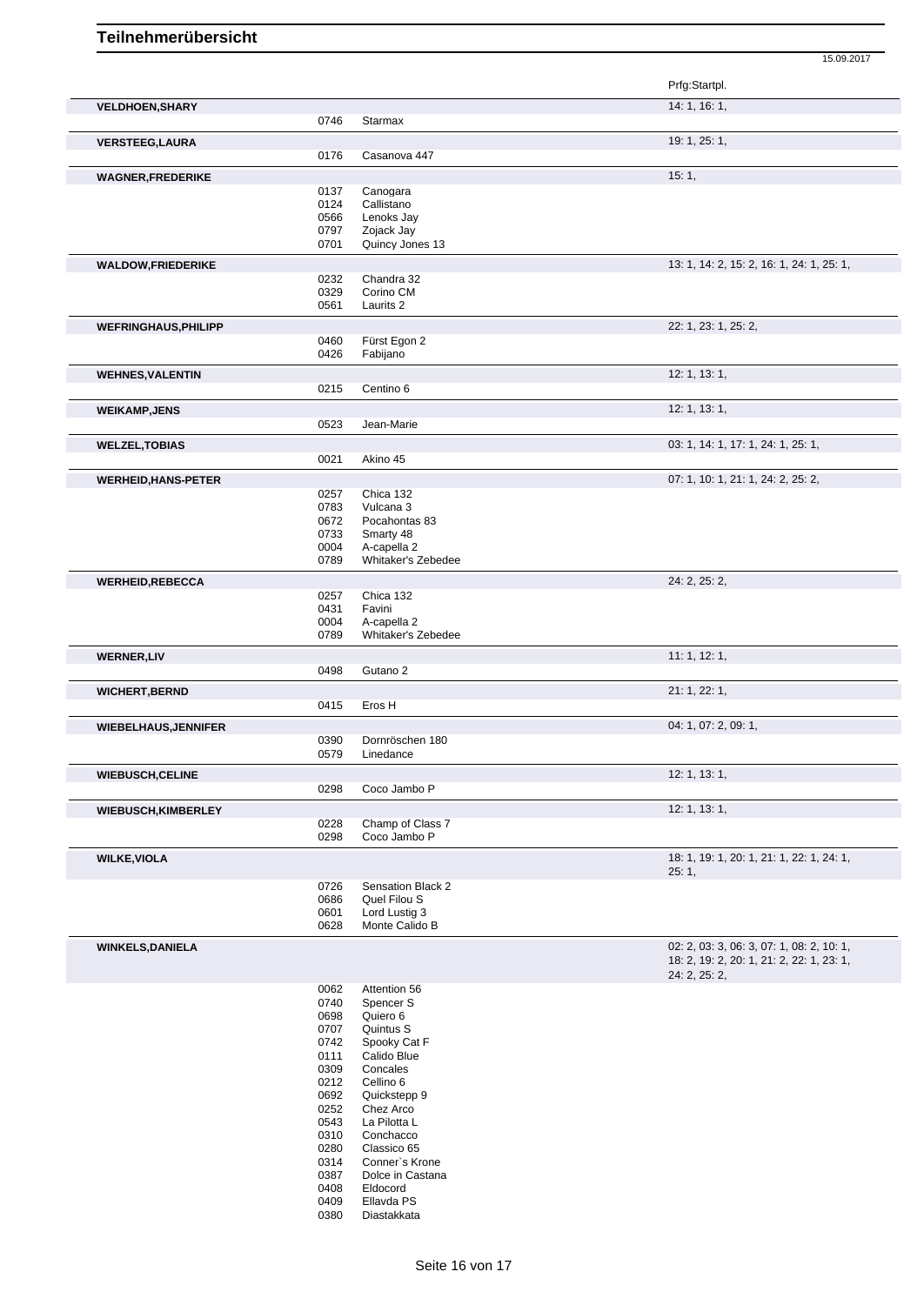15.09.2017 Prfg:Startpl. **VELDHOEN, SHARY** 14: 1, 16: 1, 0746 Starmax **VERSTEEG,LAURA** 19: 1, 25: 1, 25: 1, 25: 1, 25: 1, 25: 1, 25: 1, 25: 1, 25: 1, 25: 1, 25: 1, 25: 1, 25: 1, 25: 1, 25: 1, 25: 1, 25: 1, 25: 1, 25: 1, 25: 1, 25: 1, 25: 1, 25: 1, 25: 1, 25: 1, 25: 1, 25: 1, 25: 1, 25: 1, 25 0176 Casanova 447 **WAGNER,FREDERIKE** 15: 1, 20137 Canogara 15: 1, 2014 2014 15: 1, 2014 2015 1, 2014 2015 1, 2014 2015 1, 2016 1, 2016 2017 2018 2017 2018 2017 2018 2017 2018 2017 2018 2017 2018 2017 2018 2017 2018 2017 2018 2017 2018 2017 0137 Canogara<br>0124 Callistano 0124 Callistano<br>0566 Lenoks Ja 0566 Lenoks Jay<br>0797 Zojack Jay 0797 Zojack Jay<br>0701 Quincy Jon Quincy Jones 13 **WALDOW,FRIEDERIKE** 2, 15: 1, 24: 1, 25: 1, 25: 1, 25: 1, 25: 1, 25: 1, 25: 1, 25: 1, 25: 1, 25: 1, 25: 1, 25: 1, 25: 1, 25: 1, 25: 1, 25: 1, 25: 1, 25: 1, 25: 1, 25: 1, 25: 1, 25: 1, 25: 1, 2, 2, 16: 2, 16: 1, 25: 1, 25: 0232 Chandra 32<br>0329 Corino CM 0329 Corino CM<br>0561 Laurits 2 Laurits 2 **WEFRINGHAUS,PHILIPP** 22: 1, 23: 1, 25: 2, Fürst Egon 2 0426 Fabijano **WEHNES,VALENTIN** 12: 1, 13: 1, 0215 Centino 6 **WEIKAMP,JENS** 12: 1, 13: 1, 0523 Jean-Marie **WELZEL,TOBIAS** 03: 1, 14: 1, 17: 1, 24: 1, 25: 1, 0021 Akino 45 **WERHEID,HANS-PETER** 0257 Chica 132 Chica 132 07: 1, 10: 1, 21: 1, 24: 2, 25: 2, 0257 Chica 132<br>0783 Vulcana 3 Vulcana 3 0672 Pocahontas 83 0733 Smarty 48<br>0004 A-capella 2 0004 A-capella 2<br>0789 Whitaker's Whitaker's Zebedee **WERHEID,REBECCA** 24: 2, 25: 2, 0257 Chica 132<br>0431 Favini 0431 Favini<br>0004 A-cape 0004 A-capella 2<br>0789 Whitaker's 2 Whitaker's Zebedee **WERNER,LIV** 11: 1, 12: 1, 0498 Gutano 2 **WICHERT,BERND** 21: 1, 22: 1,<br>
21: 1, 22: 1,<br>
21: 22: 1, Eros H **WIEBELHAUS,JENNIFER** 04: 1, 07: 2, 09: 1, Dornröschen 180 0579 Linedance **WIEBUSCH,CELINE** 12: 1, 13: 1, 0298 Coco Jambo P **WIEBUSCH,KIMBERLEY** 12: 1, 13: 1, 13: 1, 0228 Champ of Class 7 0298 Coco Jambo P **WILKE,VIOLA** 18: 1, 19: 1, 22: 1, 24: 1, 22: 1, 24: 1, 22: 1, 24: 1, 22: 1, 24: 1, 22: 1, 24: 1, 22: 1, 24: 1, 22: 1, 24: 1, 22: 1, 24: 1, 22: 1, 24: 1, 22: 1, 24: 1, 22: 1, 24: 1, 22: 1, 24: 1, 22: 1, 24: 1, 22: 1, 24: 1 25: 1, 0726 Sensation Black 2<br>0686 Quel Filou S 0686 Quel Filou S<br>0601 Lord Lustig 3 0601 Lord Lustig 3<br>0628 Monte Calido

**WINKELS,DANIELA** 02: 2, 03: 3, 06: 3, 07: 1, 08: 2, 10: 1,

0062 Attention 56<br>0740 Spencer S 0740 Spencer S<br>0698 Quiero 6 Quiero 6 0707 Quintus S<br>0742 Spooky Ca Spooky Cat F 0111 Calido Blue 0309 Concales<br>0212 Cellino 6 0212 Cellino 6<br>0692 Quickster 0692 Quickstepp 9<br>0252 Chez Arco 0252 Chez Arco<br>0543 La Pilotta L 0543 La Pilotta L<br>0310 Conchacco 0310 Conchacco<br>0280 Classico 65 0280 Classico 65<br>0314 Conner's K 0314 Conner's Krone<br>0387 Dolce in Castana 0387 Dolce in Castana<br>0408 Eldocord Eldocord 0409 Ellavda PS<br>0380 Diastakkata Diastakkata

Monte Calido B

18: 2, 19: 2, 20: 1, 21: 2, 22: 1, 23: 1,

24: 2, 25: 2,